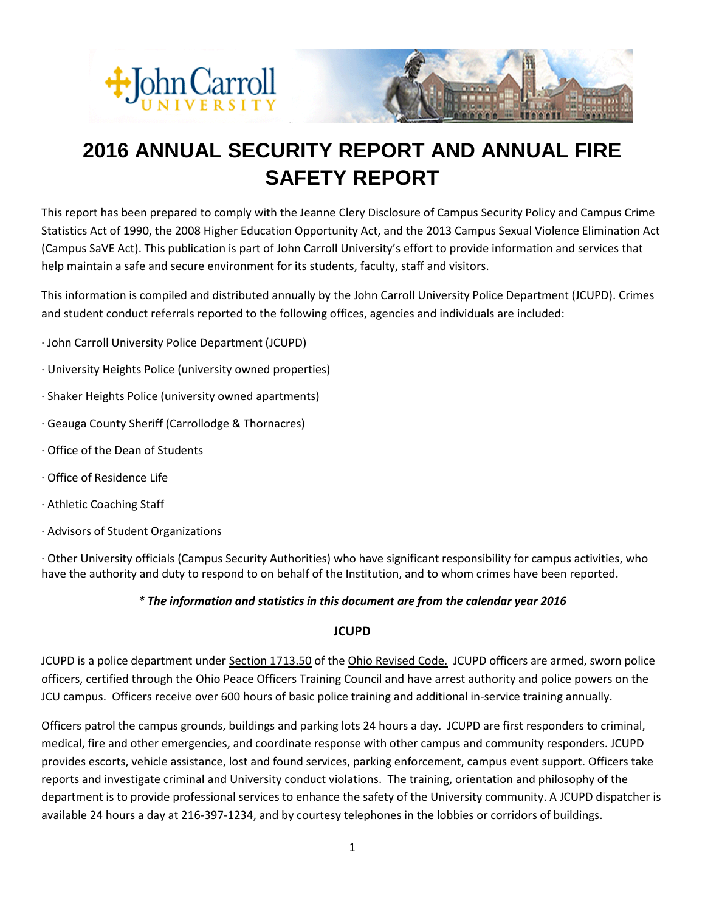



# **2016 ANNUAL SECURITY REPORT AND ANNUAL FIRE SAFETY REPORT**

This report has been prepared to comply with the Jeanne Clery Disclosure of Campus Security Policy and Campus Crime Statistics Act of 1990, the 2008 Higher Education Opportunity Act, and the 2013 Campus Sexual Violence Elimination Act (Campus SaVE Act). This publication is part of John Carroll University's effort to provide information and services that help maintain a safe and secure environment for its students, faculty, staff and visitors.

This information is compiled and distributed annually by the John Carroll University Police Department (JCUPD). Crimes and student conduct referrals reported to the following offices, agencies and individuals are included:

- · John Carroll University Police Department (JCUPD)
- · University Heights Police (university owned properties)
- · Shaker Heights Police (university owned apartments)
- · Geauga County Sheriff (Carrollodge & Thornacres)
- · Office of the Dean of Students
- · Office of Residence Life
- · Athletic Coaching Staff
- · Advisors of Student Organizations

· Other University officials (Campus Security Authorities) who have significant responsibility for campus activities, who have the authority and duty to respond to on behalf of the Institution, and to whom crimes have been reported.

#### *\* The information and statistics in this document are from the calendar year 2016*

#### **JCUPD**

JCUPD is a police department under Section 1713.50 of the Ohio Revised Code. JCUPD officers are armed, sworn police officers, certified through the Ohio Peace Officers Training Council and have arrest authority and police powers on the JCU campus. Officers receive over 600 hours of basic police training and additional in-service training annually.

Officers patrol the campus grounds, buildings and parking lots 24 hours a day. JCUPD are first responders to criminal, medical, fire and other emergencies, and coordinate response with other campus and community responders. JCUPD provides escorts, vehicle assistance, lost and found services, parking enforcement, campus event support. Officers take reports and investigate criminal and University conduct violations. The training, orientation and philosophy of the department is to provide professional services to enhance the safety of the University community. A JCUPD dispatcher is available 24 hours a day at 216-397-1234, and by courtesy telephones in the lobbies or corridors of buildings.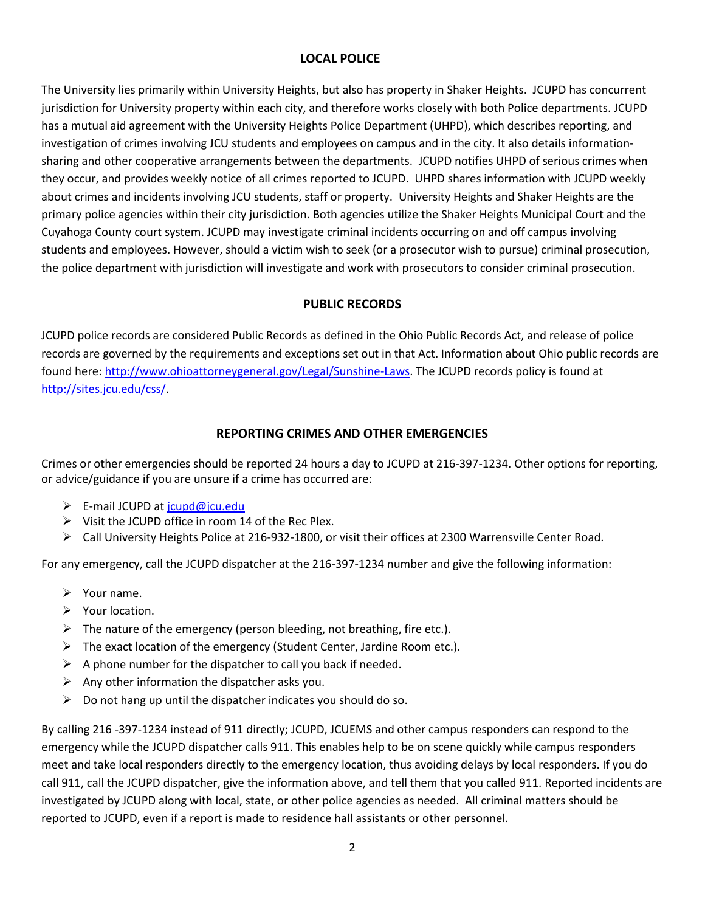# **LOCAL POLICE**

The University lies primarily within University Heights, but also has property in Shaker Heights. JCUPD has concurrent jurisdiction for University property within each city, and therefore works closely with both Police departments. JCUPD has a mutual aid agreement with the University Heights Police Department (UHPD), which describes reporting, and investigation of crimes involving JCU students and employees on campus and in the city. It also details informationsharing and other cooperative arrangements between the departments. JCUPD notifies UHPD of serious crimes when they occur, and provides weekly notice of all crimes reported to JCUPD. UHPD shares information with JCUPD weekly about crimes and incidents involving JCU students, staff or property. University Heights and Shaker Heights are the primary police agencies within their city jurisdiction. Both agencies utilize the Shaker Heights Municipal Court and the Cuyahoga County court system. JCUPD may investigate criminal incidents occurring on and off campus involving students and employees. However, should a victim wish to seek (or a prosecutor wish to pursue) criminal prosecution, the police department with jurisdiction will investigate and work with prosecutors to consider criminal prosecution.

# **PUBLIC RECORDS**

JCUPD police records are considered Public Records as defined in the Ohio Public Records Act, and release of police records are governed by the requirements and exceptions set out in that Act. Information about Ohio public records are found here: [http://www.ohioattorneygeneral.gov/Legal/Sunshine-Laws.](http://www.ohioattorneygeneral.gov/Legal/Sunshine-Laws) The JCUPD records policy is found at [http://sites.jcu.edu/css/.](http://sites.jcu.edu/css/)

#### **REPORTING CRIMES AND OTHER EMERGENCIES**

Crimes or other emergencies should be reported 24 hours a day to JCUPD at 216-397-1234. Other options for reporting, or advice/guidance if you are unsure if a crime has occurred are:

- ▶ E-mail JCUPD at [jcupd@jcu.edu](mailto:jcupd@jcu.edu)
- $\triangleright$  Visit the JCUPD office in room 14 of the Rec Plex.
- Call University Heights Police at 216-932-1800, or visit their offices at 2300 Warrensville Center Road.

For any emergency, call the JCUPD dispatcher at the 216-397-1234 number and give the following information:

- $\triangleright$  Your name.
- $\triangleright$  Your location.
- $\triangleright$  The nature of the emergency (person bleeding, not breathing, fire etc.).
- $\triangleright$  The exact location of the emergency (Student Center, Jardine Room etc.).
- $\triangleright$  A phone number for the dispatcher to call you back if needed.
- $\triangleright$  Any other information the dispatcher asks you.
- $\triangleright$  Do not hang up until the dispatcher indicates you should do so.

By calling 216 -397-1234 instead of 911 directly; JCUPD, JCUEMS and other campus responders can respond to the emergency while the JCUPD dispatcher calls 911. This enables help to be on scene quickly while campus responders meet and take local responders directly to the emergency location, thus avoiding delays by local responders. If you do call 911, call the JCUPD dispatcher, give the information above, and tell them that you called 911. Reported incidents are investigated by JCUPD along with local, state, or other police agencies as needed. All criminal matters should be reported to JCUPD, even if a report is made to residence hall assistants or other personnel.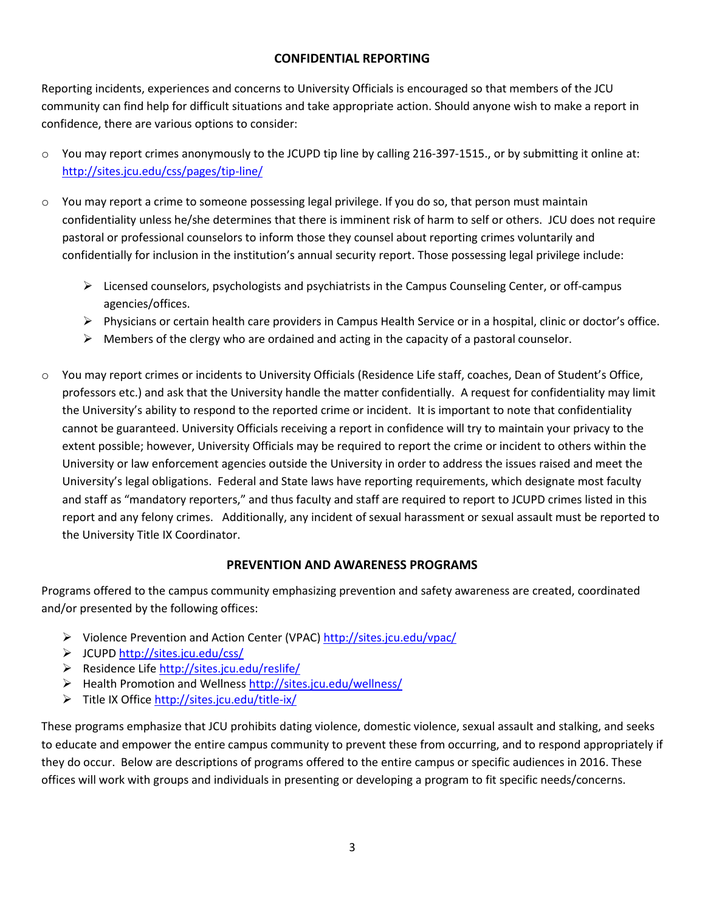#### **CONFIDENTIAL REPORTING**

Reporting incidents, experiences and concerns to University Officials is encouraged so that members of the JCU community can find help for difficult situations and take appropriate action. Should anyone wish to make a report in confidence, there are various options to consider:

- $\circ$  You may report crimes anonymously to the JCUPD tip line by calling 216-397-1515., or by submitting it online at: <http://sites.jcu.edu/css/pages/tip-line/>
- o You may report a crime to someone possessing legal privilege. If you do so, that person must maintain confidentiality unless he/she determines that there is imminent risk of harm to self or others. JCU does not require pastoral or professional counselors to inform those they counsel about reporting crimes voluntarily and confidentially for inclusion in the institution's annual security report. Those possessing legal privilege include:
	- $\triangleright$  Licensed counselors, psychologists and psychiatrists in the Campus Counseling Center, or off-campus agencies/offices.
	- Physicians or certain health care providers in Campus Health Service or in a hospital, clinic or doctor's office.
	- $\triangleright$  Members of the clergy who are ordained and acting in the capacity of a pastoral counselor.
- o You may report crimes or incidents to University Officials (Residence Life staff, coaches, Dean of Student's Office, professors etc.) and ask that the University handle the matter confidentially. A request for confidentiality may limit the University's ability to respond to the reported crime or incident. It is important to note that confidentiality cannot be guaranteed. University Officials receiving a report in confidence will try to maintain your privacy to the extent possible; however, University Officials may be required to report the crime or incident to others within the University or law enforcement agencies outside the University in order to address the issues raised and meet the University's legal obligations. Federal and State laws have reporting requirements, which designate most faculty and staff as "mandatory reporters," and thus faculty and staff are required to report to JCUPD crimes listed in this report and any felony crimes. Additionally, any incident of sexual harassment or sexual assault must be reported to the University Title IX Coordinator.

# **PREVENTION AND AWARENESS PROGRAMS**

Programs offered to the campus community emphasizing prevention and safety awareness are created, coordinated and/or presented by the following offices:

- ▶ Violence Prevention and Action Center (VPAC)<http://sites.jcu.edu/vpac/>
- JCUPD <http://sites.jcu.edu/css/>
- ▶ Residence Life <http://sites.jcu.edu/reslife/>
- Health Promotion and Wellness<http://sites.jcu.edu/wellness/>
- Title IX Office<http://sites.jcu.edu/title-ix/>

These programs emphasize that JCU prohibits dating violence, domestic violence, sexual assault and stalking, and seeks to educate and empower the entire campus community to prevent these from occurring, and to respond appropriately if they do occur. Below are descriptions of programs offered to the entire campus or specific audiences in 2016. These offices will work with groups and individuals in presenting or developing a program to fit specific needs/concerns.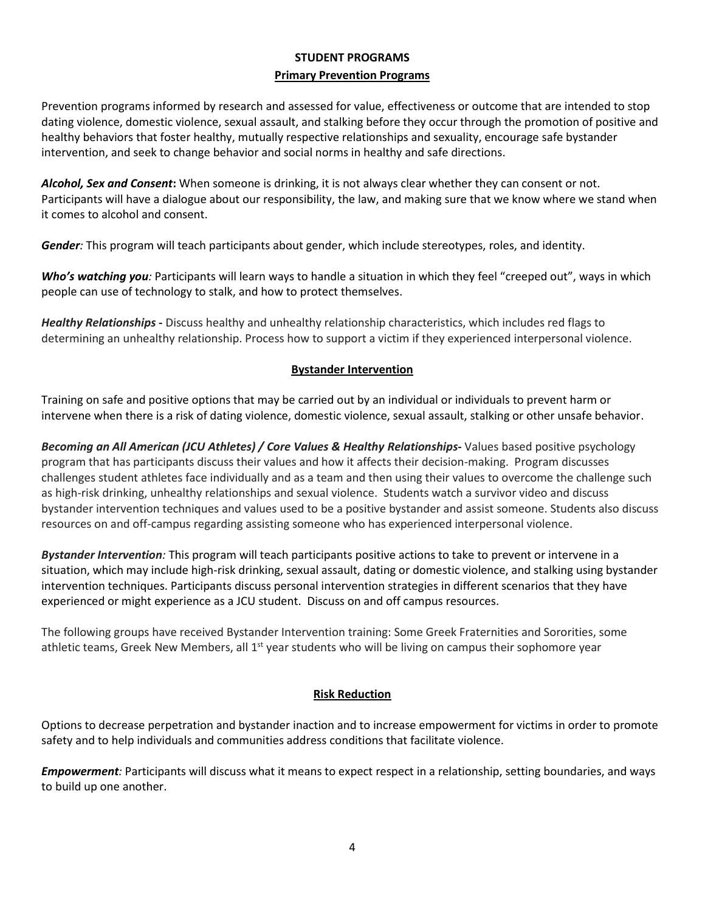# **STUDENT PROGRAMS Primary Prevention Programs**

Prevention programs informed by research and assessed for value, effectiveness or outcome that are intended to stop dating violence, domestic violence, sexual assault, and stalking before they occur through the promotion of positive and healthy behaviors that foster healthy, mutually respective relationships and sexuality, encourage safe bystander intervention, and seek to change behavior and social norms in healthy and safe directions.

*Alcohol, Sex and Consent***:** When someone is drinking, it is not always clear whether they can consent or not. Participants will have a dialogue about our responsibility, the law, and making sure that we know where we stand when it comes to alcohol and consent.

*Gender:* This program will teach participants about gender, which include stereotypes, roles, and identity.

*Who's watching you:* Participants will learn ways to handle a situation in which they feel "creeped out", ways in which people can use of technology to stalk, and how to protect themselves.

*Healthy Relationships* **-** Discuss healthy and unhealthy relationship characteristics, which includes red flags to determining an unhealthy relationship. Process how to support a victim if they experienced interpersonal violence.

#### **Bystander Intervention**

Training on safe and positive options that may be carried out by an individual or individuals to prevent harm or intervene when there is a risk of dating violence, domestic violence, sexual assault, stalking or other unsafe behavior.

*Becoming an All American (JCU Athletes) / Core Values & Healthy Relationships***-** Values based positive psychology program that has participants discuss their values and how it affects their decision-making. Program discusses challenges student athletes face individually and as a team and then using their values to overcome the challenge such as high-risk drinking, unhealthy relationships and sexual violence. Students watch a survivor video and discuss bystander intervention techniques and values used to be a positive bystander and assist someone. Students also discuss resources on and off-campus regarding assisting someone who has experienced interpersonal violence.

*Bystander Intervention:* This program will teach participants positive actions to take to prevent or intervene in a situation, which may include high-risk drinking, sexual assault, dating or domestic violence, and stalking using bystander intervention techniques. Participants discuss personal intervention strategies in different scenarios that they have experienced or might experience as a JCU student. Discuss on and off campus resources.

The following groups have received Bystander Intervention training: Some Greek Fraternities and Sororities, some athletic teams, Greek New Members, all 1<sup>st</sup> year students who will be living on campus their sophomore year

# **Risk Reduction**

Options to decrease perpetration and bystander inaction and to increase empowerment for victims in order to promote safety and to help individuals and communities address conditions that facilitate violence.

*Empowerment:* Participants will discuss what it means to expect respect in a relationship, setting boundaries, and ways to build up one another.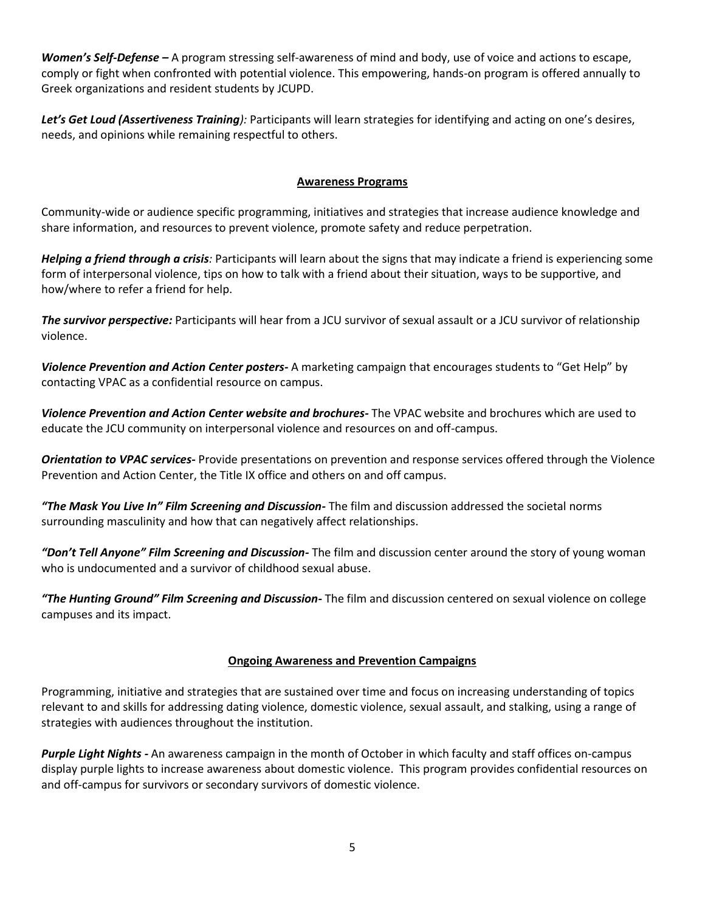*Women's Self-Defense –* A program stressing self-awareness of mind and body, use of voice and actions to escape, comply or fight when confronted with potential violence. This empowering, hands-on program is offered annually to Greek organizations and resident students by JCUPD.

*Let's Get Loud (Assertiveness Training):* Participants will learn strategies for identifying and acting on one's desires, needs, and opinions while remaining respectful to others.

#### **Awareness Programs**

Community-wide or audience specific programming, initiatives and strategies that increase audience knowledge and share information, and resources to prevent violence, promote safety and reduce perpetration.

*Helping a friend through a crisis:* Participants will learn about the signs that may indicate a friend is experiencing some form of interpersonal violence, tips on how to talk with a friend about their situation, ways to be supportive, and how/where to refer a friend for help.

*The survivor perspective:* Participants will hear from a JCU survivor of sexual assault or a JCU survivor of relationship violence.

*Violence Prevention and Action Center posters-* A marketing campaign that encourages students to "Get Help" by contacting VPAC as a confidential resource on campus.

*Violence Prevention and Action Center website and brochures-* The VPAC website and brochures which are used to educate the JCU community on interpersonal violence and resources on and off-campus.

*Orientation to VPAC services-* Provide presentations on prevention and response services offered through the Violence Prevention and Action Center, the Title IX office and others on and off campus.

*"The Mask You Live In" Film Screening and Discussion-* The film and discussion addressed the societal norms surrounding masculinity and how that can negatively affect relationships.

*"Don't Tell Anyone" Film Screening and Discussion-* The film and discussion center around the story of young woman who is undocumented and a survivor of childhood sexual abuse.

*"The Hunting Ground" Film Screening and Discussion-* The film and discussion centered on sexual violence on college campuses and its impact.

#### **Ongoing Awareness and Prevention Campaigns**

Programming, initiative and strategies that are sustained over time and focus on increasing understanding of topics relevant to and skills for addressing dating violence, domestic violence, sexual assault, and stalking, using a range of strategies with audiences throughout the institution.

*Purple Light Nights -* An awareness campaign in the month of October in which faculty and staff offices on-campus display purple lights to increase awareness about domestic violence. This program provides confidential resources on and off-campus for survivors or secondary survivors of domestic violence.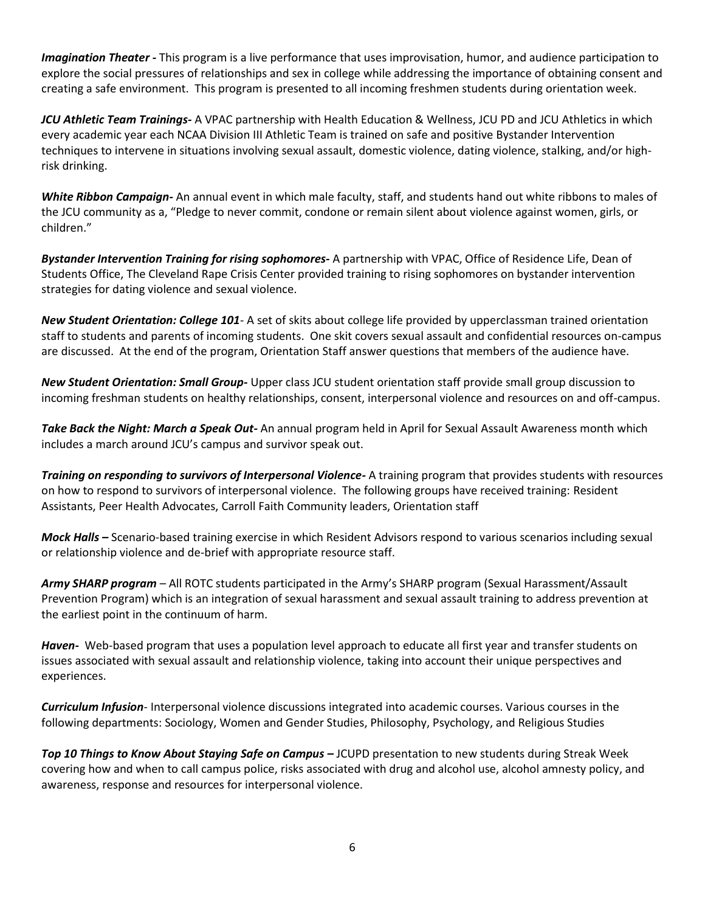*Imagination Theater -* This program is a live performance that uses improvisation, humor, and audience participation to explore the social pressures of relationships and sex in college while addressing the importance of obtaining consent and creating a safe environment. This program is presented to all incoming freshmen students during orientation week.

*JCU Athletic Team Trainings-* A VPAC partnership with Health Education & Wellness, JCU PD and JCU Athletics in which every academic year each NCAA Division III Athletic Team is trained on safe and positive Bystander Intervention techniques to intervene in situations involving sexual assault, domestic violence, dating violence, stalking, and/or highrisk drinking.

*White Ribbon Campaign-* An annual event in which male faculty, staff, and students hand out white ribbons to males of the JCU community as a, "Pledge to never commit, condone or remain silent about violence against women, girls, or children."

*Bystander Intervention Training for rising sophomores-* A partnership with VPAC, Office of Residence Life, Dean of Students Office, The Cleveland Rape Crisis Center provided training to rising sophomores on bystander intervention strategies for dating violence and sexual violence.

*New Student Orientation: College 101*- A set of skits about college life provided by upperclassman trained orientation staff to students and parents of incoming students. One skit covers sexual assault and confidential resources on-campus are discussed. At the end of the program, Orientation Staff answer questions that members of the audience have.

*New Student Orientation: Small Group-* Upper class JCU student orientation staff provide small group discussion to incoming freshman students on healthy relationships, consent, interpersonal violence and resources on and off-campus.

*Take Back the Night: March a Speak Out-* An annual program held in April for Sexual Assault Awareness month which includes a march around JCU's campus and survivor speak out.

*Training on responding to survivors of Interpersonal Violence-* A training program that provides students with resources on how to respond to survivors of interpersonal violence. The following groups have received training: Resident Assistants, Peer Health Advocates, Carroll Faith Community leaders, Orientation staff

*Mock Halls* **–** Scenario-based training exercise in which Resident Advisors respond to various scenarios including sexual or relationship violence and de-brief with appropriate resource staff.

*Army SHARP program* – All ROTC students participated in the Army's SHARP program (Sexual Harassment/Assault Prevention Program) which is an integration of sexual harassment and sexual assault training to address prevention at the earliest point in the continuum of harm.

*Haven-* Web-based program that uses a population level approach to educate all first year and transfer students on issues associated with sexual assault and relationship violence, taking into account their unique perspectives and experiences.

*Curriculum Infusion*- Interpersonal violence discussions integrated into academic courses. Various courses in the following departments: Sociology, Women and Gender Studies, Philosophy, Psychology, and Religious Studies

*Top 10 Things to Know About Staying Safe on Campus –* JCUPD presentation to new students during Streak Week covering how and when to call campus police, risks associated with drug and alcohol use, alcohol amnesty policy, and awareness, response and resources for interpersonal violence.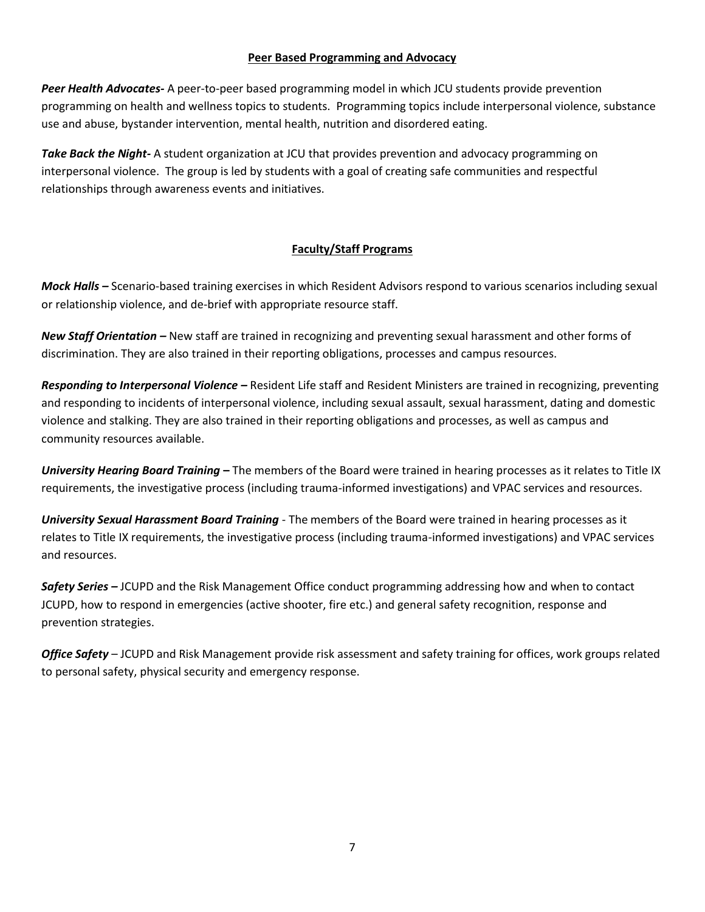#### **Peer Based Programming and Advocacy**

*Peer Health Advocates-* A peer-to-peer based programming model in which JCU students provide prevention programming on health and wellness topics to students. Programming topics include interpersonal violence, substance use and abuse, bystander intervention, mental health, nutrition and disordered eating.

*Take Back the Night-* A student organization at JCU that provides prevention and advocacy programming on interpersonal violence. The group is led by students with a goal of creating safe communities and respectful relationships through awareness events and initiatives.

# **Faculty/Staff Programs**

*Mock Halls –* Scenario-based training exercises in which Resident Advisors respond to various scenarios including sexual or relationship violence, and de-brief with appropriate resource staff.

*New Staff Orientation –* New staff are trained in recognizing and preventing sexual harassment and other forms of discrimination. They are also trained in their reporting obligations, processes and campus resources.

*Responding to Interpersonal Violence –* Resident Life staff and Resident Ministers are trained in recognizing, preventing and responding to incidents of interpersonal violence, including sexual assault, sexual harassment, dating and domestic violence and stalking. They are also trained in their reporting obligations and processes, as well as campus and community resources available.

*University Hearing Board Training* **–** The members of the Board were trained in hearing processes as it relates to Title IX requirements, the investigative process (including trauma-informed investigations) and VPAC services and resources.

*University Sexual Harassment Board Training* - The members of the Board were trained in hearing processes as it relates to Title IX requirements, the investigative process (including trauma-informed investigations) and VPAC services and resources.

*Safety Series –* JCUPD and the Risk Management Office conduct programming addressing how and when to contact JCUPD, how to respond in emergencies (active shooter, fire etc.) and general safety recognition, response and prevention strategies.

*Office Safety* – JCUPD and Risk Management provide risk assessment and safety training for offices, work groups related to personal safety, physical security and emergency response.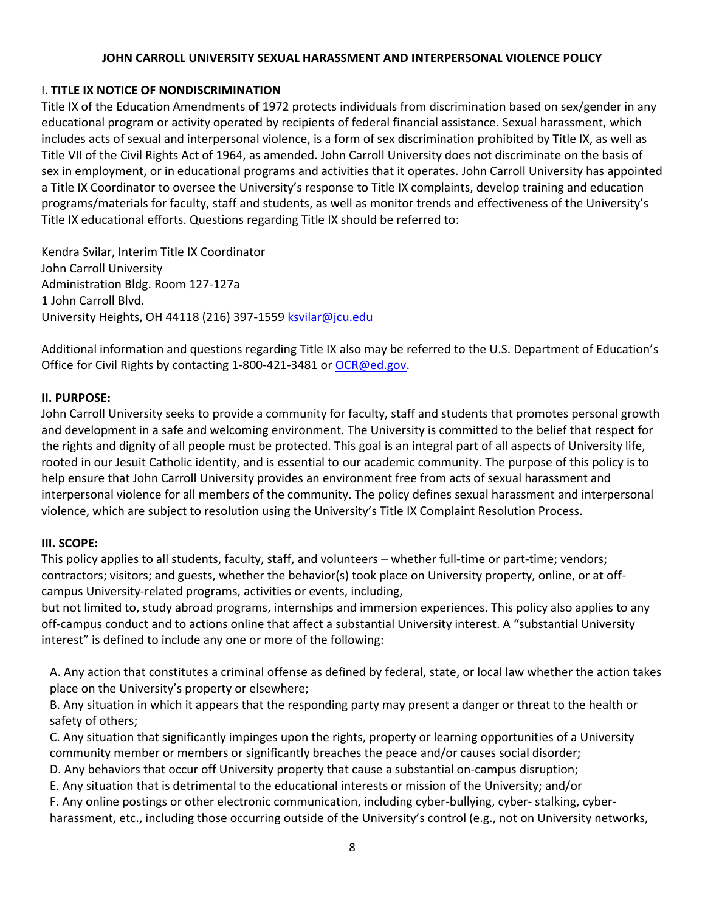#### **JOHN CARROLL UNIVERSITY SEXUAL HARASSMENT AND INTERPERSONAL VIOLENCE POLICY**

# I. **TITLE IX NOTICE OF NONDISCRIMINATION**

Title IX of the Education Amendments of 1972 protects individuals from discrimination based on sex/gender in any educational program or activity operated by recipients of federal financial assistance. Sexual harassment, which includes acts of sexual and interpersonal violence, is a form of sex discrimination prohibited by Title IX, as well as Title VII of the Civil Rights Act of 1964, as amended. John Carroll University does not discriminate on the basis of sex in employment, or in educational programs and activities that it operates. John Carroll University has appointed a Title IX Coordinator to oversee the University's response to Title IX complaints, develop training and education programs/materials for faculty, staff and students, as well as monitor trends and effectiveness of the University's Title IX educational efforts. Questions regarding Title IX should be referred to:

Kendra Svilar, Interim Title IX Coordinator John Carroll University Administration Bldg. Room 127-127a 1 John Carroll Blvd. University Heights, OH 44118 (216) 397-1559 [ksvilar@jcu.edu](mailto:ksvilar@jcu.edu)

Additional information and questions regarding Title IX also may be referred to the U.S. Department of Education's Office for Civil Rights by contacting 1-800-421-3481 or [OCR@ed.gov.](mailto:OCR@ed.gov)

# **II. PURPOSE:**

John Carroll University seeks to provide a community for faculty, staff and students that promotes personal growth and development in a safe and welcoming environment. The University is committed to the belief that respect for the rights and dignity of all people must be protected. This goal is an integral part of all aspects of University life, rooted in our Jesuit Catholic identity, and is essential to our academic community. The purpose of this policy is to help ensure that John Carroll University provides an environment free from acts of sexual harassment and interpersonal violence for all members of the community. The policy defines sexual harassment and interpersonal violence, which are subject to resolution using the University's Title IX Complaint Resolution Process.

# **III. SCOPE:**

This policy applies to all students, faculty, staff, and volunteers – whether full-time or part-time; vendors; contractors; visitors; and guests, whether the behavior(s) took place on University property, online, or at offcampus University-related programs, activities or events, including,

but not limited to, study abroad programs, internships and immersion experiences. This policy also applies to any off-campus conduct and to actions online that affect a substantial University interest. A "substantial University interest" is defined to include any one or more of the following:

A. Any action that constitutes a criminal offense as defined by federal, state, or local law whether the action takes place on the University's property or elsewhere;

B. Any situation in which it appears that the responding party may present a danger or threat to the health or safety of others;

C. Any situation that significantly impinges upon the rights, property or learning opportunities of a University community member or members or significantly breaches the peace and/or causes social disorder;

D. Any behaviors that occur off University property that cause a substantial on-campus disruption;

E. Any situation that is detrimental to the educational interests or mission of the University; and/or

F. Any online postings or other electronic communication, including cyber-bullying, cyber- stalking, cyberharassment, etc., including those occurring outside of the University's control (e.g., not on University networks,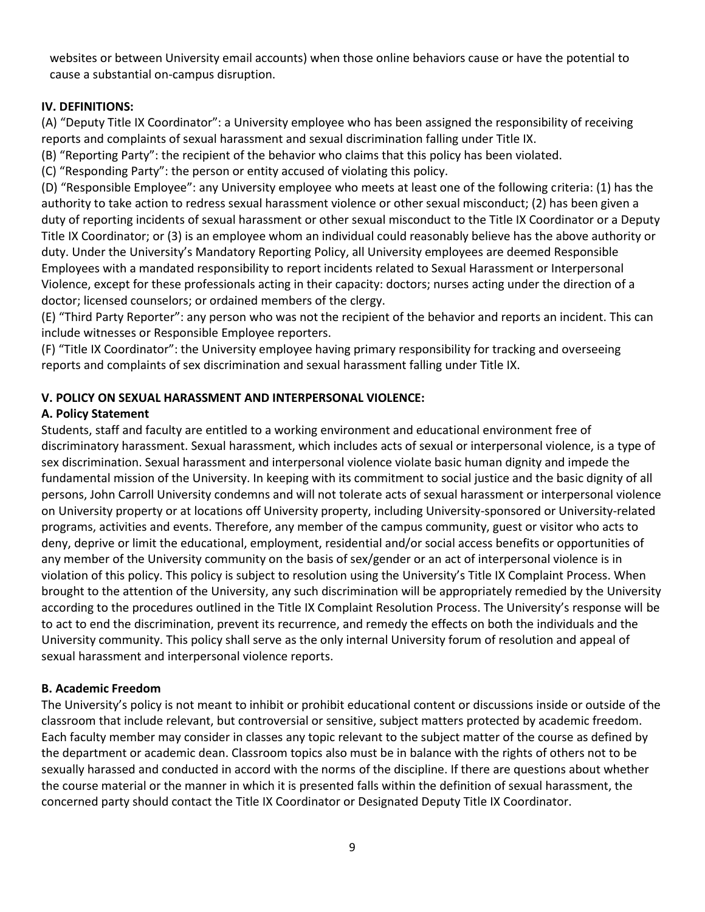websites or between University email accounts) when those online behaviors cause or have the potential to cause a substantial on-campus disruption.

# **IV. DEFINITIONS:**

(A) "Deputy Title IX Coordinator": a University employee who has been assigned the responsibility of receiving reports and complaints of sexual harassment and sexual discrimination falling under Title IX.

(B) "Reporting Party": the recipient of the behavior who claims that this policy has been violated.

(C) "Responding Party": the person or entity accused of violating this policy.

(D) "Responsible Employee": any University employee who meets at least one of the following criteria: (1) has the authority to take action to redress sexual harassment violence or other sexual misconduct; (2) has been given a duty of reporting incidents of sexual harassment or other sexual misconduct to the Title IX Coordinator or a Deputy Title IX Coordinator; or (3) is an employee whom an individual could reasonably believe has the above authority or duty. Under the University's Mandatory Reporting Policy, all University employees are deemed Responsible Employees with a mandated responsibility to report incidents related to Sexual Harassment or Interpersonal Violence, except for these professionals acting in their capacity: doctors; nurses acting under the direction of a doctor; licensed counselors; or ordained members of the clergy.

(E) "Third Party Reporter": any person who was not the recipient of the behavior and reports an incident. This can include witnesses or Responsible Employee reporters.

(F) "Title IX Coordinator": the University employee having primary responsibility for tracking and overseeing reports and complaints of sex discrimination and sexual harassment falling under Title IX.

# **V. POLICY ON SEXUAL HARASSMENT AND INTERPERSONAL VIOLENCE:**

# **A. Policy Statement**

Students, staff and faculty are entitled to a working environment and educational environment free of discriminatory harassment. Sexual harassment, which includes acts of sexual or interpersonal violence, is a type of sex discrimination. Sexual harassment and interpersonal violence violate basic human dignity and impede the fundamental mission of the University. In keeping with its commitment to social justice and the basic dignity of all persons, John Carroll University condemns and will not tolerate acts of sexual harassment or interpersonal violence on University property or at locations off University property, including University-sponsored or University-related programs, activities and events. Therefore, any member of the campus community, guest or visitor who acts to deny, deprive or limit the educational, employment, residential and/or social access benefits or opportunities of any member of the University community on the basis of sex/gender or an act of interpersonal violence is in violation of this policy. This policy is subject to resolution using the University's Title IX Complaint Process. When brought to the attention of the University, any such discrimination will be appropriately remedied by the University according to the procedures outlined in the Title IX Complaint Resolution Process. The University's response will be to act to end the discrimination, prevent its recurrence, and remedy the effects on both the individuals and the University community. This policy shall serve as the only internal University forum of resolution and appeal of sexual harassment and interpersonal violence reports.

# **B. Academic Freedom**

The University's policy is not meant to inhibit or prohibit educational content or discussions inside or outside of the classroom that include relevant, but controversial or sensitive, subject matters protected by academic freedom. Each faculty member may consider in classes any topic relevant to the subject matter of the course as defined by the department or academic dean. Classroom topics also must be in balance with the rights of others not to be sexually harassed and conducted in accord with the norms of the discipline. If there are questions about whether the course material or the manner in which it is presented falls within the definition of sexual harassment, the concerned party should contact the Title IX Coordinator or Designated Deputy Title IX Coordinator.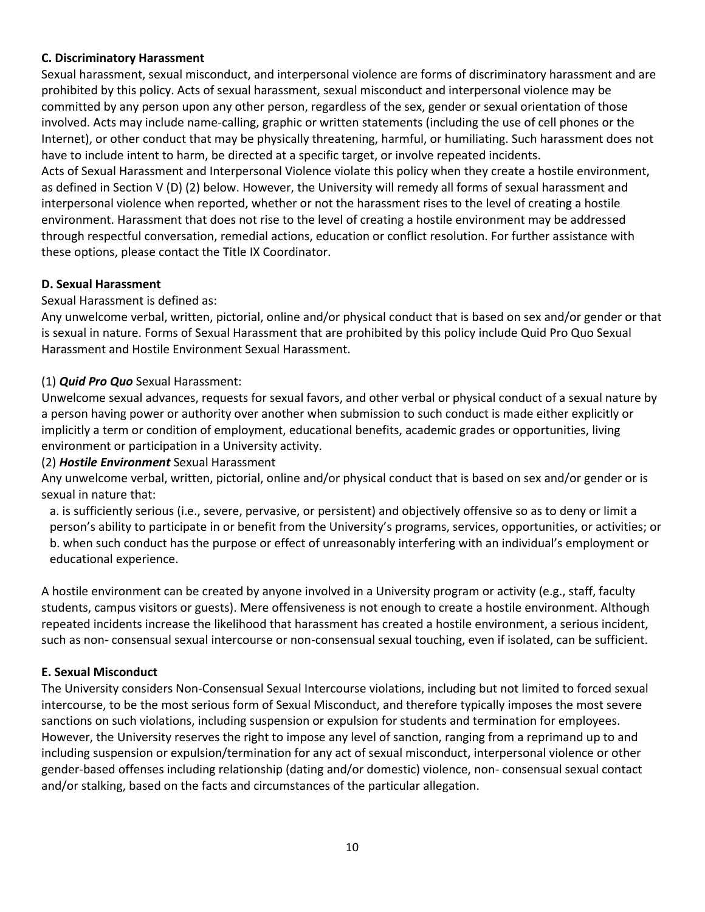# **C. Discriminatory Harassment**

Sexual harassment, sexual misconduct, and interpersonal violence are forms of discriminatory harassment and are prohibited by this policy. Acts of sexual harassment, sexual misconduct and interpersonal violence may be committed by any person upon any other person, regardless of the sex, gender or sexual orientation of those involved. Acts may include name-calling, graphic or written statements (including the use of cell phones or the Internet), or other conduct that may be physically threatening, harmful, or humiliating. Such harassment does not have to include intent to harm, be directed at a specific target, or involve repeated incidents.

Acts of Sexual Harassment and Interpersonal Violence violate this policy when they create a hostile environment, as defined in Section V (D) (2) below. However, the University will remedy all forms of sexual harassment and interpersonal violence when reported, whether or not the harassment rises to the level of creating a hostile environment. Harassment that does not rise to the level of creating a hostile environment may be addressed through respectful conversation, remedial actions, education or conflict resolution. For further assistance with these options, please contact the Title IX Coordinator.

# **D. Sexual Harassment**

Sexual Harassment is defined as:

Any unwelcome verbal, written, pictorial, online and/or physical conduct that is based on sex and/or gender or that is sexual in nature. Forms of Sexual Harassment that are prohibited by this policy include Quid Pro Quo Sexual Harassment and Hostile Environment Sexual Harassment.

# (1) *Quid Pro Quo* Sexual Harassment:

Unwelcome sexual advances, requests for sexual favors, and other verbal or physical conduct of a sexual nature by a person having power or authority over another when submission to such conduct is made either explicitly or implicitly a term or condition of employment, educational benefits, academic grades or opportunities, living environment or participation in a University activity.

# (2) *Hostile Environment* Sexual Harassment

Any unwelcome verbal, written, pictorial, online and/or physical conduct that is based on sex and/or gender or is sexual in nature that:

a. is sufficiently serious (i.e., severe, pervasive, or persistent) and objectively offensive so as to deny or limit a person's ability to participate in or benefit from the University's programs, services, opportunities, or activities; or b. when such conduct has the purpose or effect of unreasonably interfering with an individual's employment or educational experience.

A hostile environment can be created by anyone involved in a University program or activity (e.g., staff, faculty students, campus visitors or guests). Mere offensiveness is not enough to create a hostile environment. Although repeated incidents increase the likelihood that harassment has created a hostile environment, a serious incident, such as non- consensual sexual intercourse or non-consensual sexual touching, even if isolated, can be sufficient.

# **E. Sexual Misconduct**

The University considers Non-Consensual Sexual Intercourse violations, including but not limited to forced sexual intercourse, to be the most serious form of Sexual Misconduct, and therefore typically imposes the most severe sanctions on such violations, including suspension or expulsion for students and termination for employees. However, the University reserves the right to impose any level of sanction, ranging from a reprimand up to and including suspension or expulsion/termination for any act of sexual misconduct, interpersonal violence or other gender-based offenses including relationship (dating and/or domestic) violence, non- consensual sexual contact and/or stalking, based on the facts and circumstances of the particular allegation.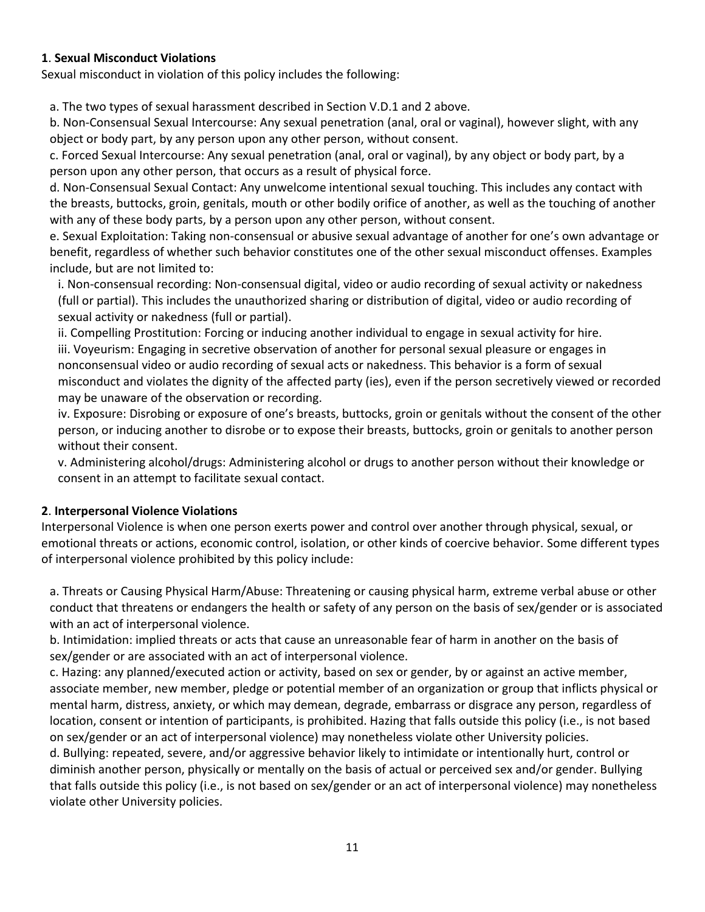# **1**. **Sexual Misconduct Violations**

Sexual misconduct in violation of this policy includes the following:

a. The two types of sexual harassment described in Section V.D.1 and 2 above.

b. Non-Consensual Sexual Intercourse: Any sexual penetration (anal, oral or vaginal), however slight, with any object or body part, by any person upon any other person, without consent.

c. Forced Sexual Intercourse: Any sexual penetration (anal, oral or vaginal), by any object or body part, by a person upon any other person, that occurs as a result of physical force.

d. Non-Consensual Sexual Contact: Any unwelcome intentional sexual touching. This includes any contact with the breasts, buttocks, groin, genitals, mouth or other bodily orifice of another, as well as the touching of another with any of these body parts, by a person upon any other person, without consent.

e. Sexual Exploitation: Taking non-consensual or abusive sexual advantage of another for one's own advantage or benefit, regardless of whether such behavior constitutes one of the other sexual misconduct offenses. Examples include, but are not limited to:

i. Non-consensual recording: Non-consensual digital, video or audio recording of sexual activity or nakedness (full or partial). This includes the unauthorized sharing or distribution of digital, video or audio recording of sexual activity or nakedness (full or partial).

ii. Compelling Prostitution: Forcing or inducing another individual to engage in sexual activity for hire. iii. Voyeurism: Engaging in secretive observation of another for personal sexual pleasure or engages in nonconsensual video or audio recording of sexual acts or nakedness. This behavior is a form of sexual misconduct and violates the dignity of the affected party (ies), even if the person secretively viewed or recorded may be unaware of the observation or recording.

iv. Exposure: Disrobing or exposure of one's breasts, buttocks, groin or genitals without the consent of the other person, or inducing another to disrobe or to expose their breasts, buttocks, groin or genitals to another person without their consent.

v. Administering alcohol/drugs: Administering alcohol or drugs to another person without their knowledge or consent in an attempt to facilitate sexual contact.

# **2**. **Interpersonal Violence Violations**

Interpersonal Violence is when one person exerts power and control over another through physical, sexual, or emotional threats or actions, economic control, isolation, or other kinds of coercive behavior. Some different types of interpersonal violence prohibited by this policy include:

a. Threats or Causing Physical Harm/Abuse: Threatening or causing physical harm, extreme verbal abuse or other conduct that threatens or endangers the health or safety of any person on the basis of sex/gender or is associated with an act of interpersonal violence.

b. Intimidation: implied threats or acts that cause an unreasonable fear of harm in another on the basis of sex/gender or are associated with an act of interpersonal violence.

c. Hazing: any planned/executed action or activity, based on sex or gender, by or against an active member, associate member, new member, pledge or potential member of an organization or group that inflicts physical or mental harm, distress, anxiety, or which may demean, degrade, embarrass or disgrace any person, regardless of location, consent or intention of participants, is prohibited. Hazing that falls outside this policy (i.e., is not based on sex/gender or an act of interpersonal violence) may nonetheless violate other University policies.

d. Bullying: repeated, severe, and/or aggressive behavior likely to intimidate or intentionally hurt, control or diminish another person, physically or mentally on the basis of actual or perceived sex and/or gender. Bullying that falls outside this policy (i.e., is not based on sex/gender or an act of interpersonal violence) may nonetheless violate other University policies.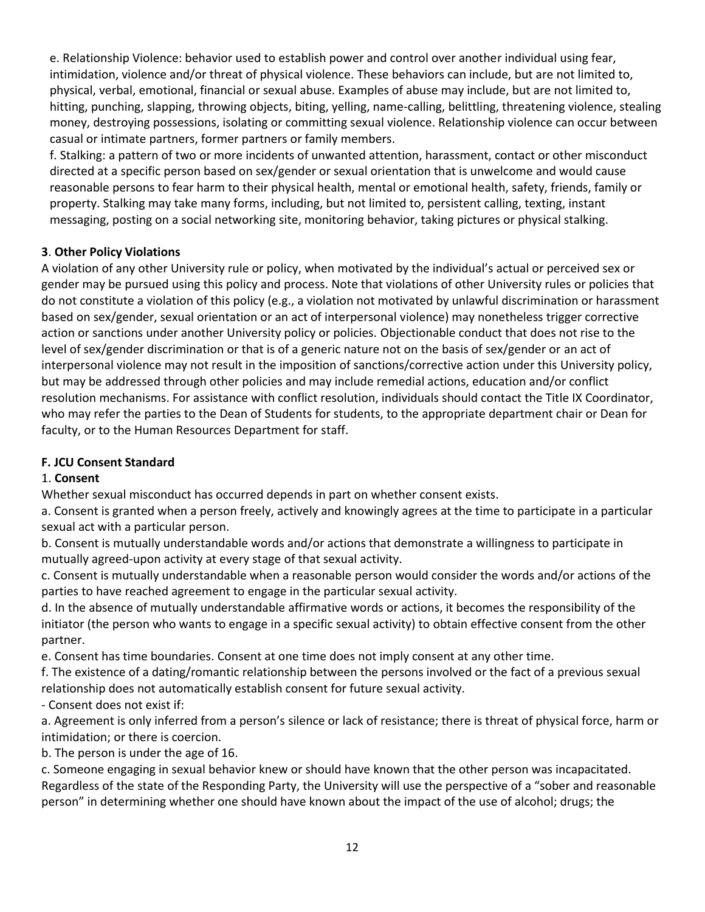e. Relationship Violence: behavior used to establish power and control over another individual using fear, intimidation, violence and/or threat of physical violence. These behaviors can include, but are not limited to, physical, verbal, emotional, financial or sexual abuse. Examples of abuse may include, but are not limited to, hitting, punching, slapping, throwing objects, biting, yelling, name-calling, belittling, threatening violence, stealing money, destroying possessions, isolating or committing sexual violence. Relationship violence can occur between casual or intimate partners, former partners or family members.

f. Stalking: a pattern of two or more incidents of unwanted attention, harassment, contact or other misconduct directed at a specific person based on sex/gender or sexual orientation that is unwelcome and would cause reasonable persons to fear harm to their physical health, mental or emotional health, safety, friends, family or property. Stalking may take many forms, including, but not limited to, persistent calling, texting, instant messaging, posting on a social networking site, monitoring behavior, taking pictures or physical stalking.

# **3**. **Other Policy Violations**

A violation of any other University rule or policy, when motivated by the individual's actual or perceived sex or gender may be pursued using this policy and process. Note that violations of other University rules or policies that do not constitute a violation of this policy (e.g., a violation not motivated by unlawful discrimination or harassment based on sex/gender, sexual orientation or an act of interpersonal violence) may nonetheless trigger corrective action or sanctions under another University policy or policies. Objectionable conduct that does not rise to the level of sex/gender discrimination or that is of a generic nature not on the basis of sex/gender or an act of interpersonal violence may not result in the imposition of sanctions/corrective action under this University policy, but may be addressed through other policies and may include remedial actions, education and/or conflict resolution mechanisms. For assistance with conflict resolution, individuals should contact the Title IX Coordinator, who may refer the parties to the Dean of Students for students, to the appropriate department chair or Dean for faculty, or to the Human Resources Department for staff.

# **F. JCU Consent Standard**

# 1. **Consent**

Whether sexual misconduct has occurred depends in part on whether consent exists.

a. Consent is granted when a person freely, actively and knowingly agrees at the time to participate in a particular sexual act with a particular person.

b. Consent is mutually understandable words and/or actions that demonstrate a willingness to participate in mutually agreed-upon activity at every stage of that sexual activity.

c. Consent is mutually understandable when a reasonable person would consider the words and/or actions of the parties to have reached agreement to engage in the particular sexual activity.

d. In the absence of mutually understandable affirmative words or actions, it becomes the responsibility of the initiator (the person who wants to engage in a specific sexual activity) to obtain effective consent from the other partner.

e. Consent has time boundaries. Consent at one time does not imply consent at any other time.

f. The existence of a dating/romantic relationship between the persons involved or the fact of a previous sexual relationship does not automatically establish consent for future sexual activity.

- Consent does not exist if:

a. Agreement is only inferred from a person's silence or lack of resistance; there is threat of physical force, harm or intimidation; or there is coercion.

b. The person is under the age of 16.

c. Someone engaging in sexual behavior knew or should have known that the other person was incapacitated. Regardless of the state of the Responding Party, the University will use the perspective of a "sober and reasonable person" in determining whether one should have known about the impact of the use of alcohol; drugs; the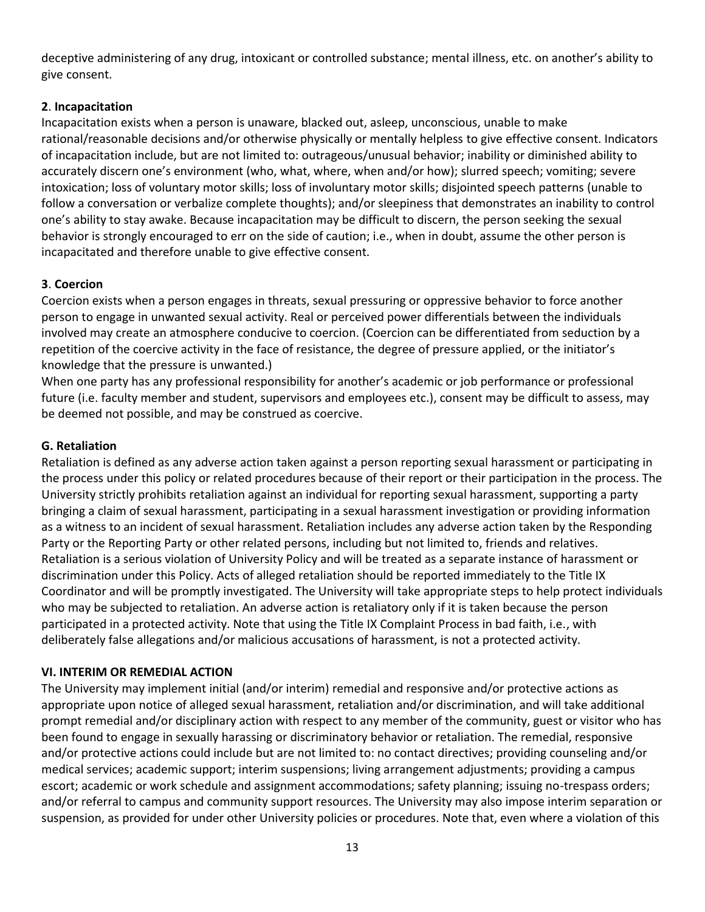deceptive administering of any drug, intoxicant or controlled substance; mental illness, etc. on another's ability to give consent.

# **2**. **Incapacitation**

Incapacitation exists when a person is unaware, blacked out, asleep, unconscious, unable to make rational/reasonable decisions and/or otherwise physically or mentally helpless to give effective consent. Indicators of incapacitation include, but are not limited to: outrageous/unusual behavior; inability or diminished ability to accurately discern one's environment (who, what, where, when and/or how); slurred speech; vomiting; severe intoxication; loss of voluntary motor skills; loss of involuntary motor skills; disjointed speech patterns (unable to follow a conversation or verbalize complete thoughts); and/or sleepiness that demonstrates an inability to control one's ability to stay awake. Because incapacitation may be difficult to discern, the person seeking the sexual behavior is strongly encouraged to err on the side of caution; i.e., when in doubt, assume the other person is incapacitated and therefore unable to give effective consent.

# **3**. **Coercion**

Coercion exists when a person engages in threats, sexual pressuring or oppressive behavior to force another person to engage in unwanted sexual activity. Real or perceived power differentials between the individuals involved may create an atmosphere conducive to coercion. (Coercion can be differentiated from seduction by a repetition of the coercive activity in the face of resistance, the degree of pressure applied, or the initiator's knowledge that the pressure is unwanted.)

When one party has any professional responsibility for another's academic or job performance or professional future (i.e. faculty member and student, supervisors and employees etc.), consent may be difficult to assess, may be deemed not possible, and may be construed as coercive.

# **G. Retaliation**

Retaliation is defined as any adverse action taken against a person reporting sexual harassment or participating in the process under this policy or related procedures because of their report or their participation in the process. The University strictly prohibits retaliation against an individual for reporting sexual harassment, supporting a party bringing a claim of sexual harassment, participating in a sexual harassment investigation or providing information as a witness to an incident of sexual harassment. Retaliation includes any adverse action taken by the Responding Party or the Reporting Party or other related persons, including but not limited to, friends and relatives. Retaliation is a serious violation of University Policy and will be treated as a separate instance of harassment or discrimination under this Policy. Acts of alleged retaliation should be reported immediately to the Title IX Coordinator and will be promptly investigated. The University will take appropriate steps to help protect individuals who may be subjected to retaliation. An adverse action is retaliatory only if it is taken because the person participated in a protected activity. Note that using the Title IX Complaint Process in bad faith, i.e., with deliberately false allegations and/or malicious accusations of harassment, is not a protected activity.

# **VI. INTERIM OR REMEDIAL ACTION**

The University may implement initial (and/or interim) remedial and responsive and/or protective actions as appropriate upon notice of alleged sexual harassment, retaliation and/or discrimination, and will take additional prompt remedial and/or disciplinary action with respect to any member of the community, guest or visitor who has been found to engage in sexually harassing or discriminatory behavior or retaliation. The remedial, responsive and/or protective actions could include but are not limited to: no contact directives; providing counseling and/or medical services; academic support; interim suspensions; living arrangement adjustments; providing a campus escort; academic or work schedule and assignment accommodations; safety planning; issuing no-trespass orders; and/or referral to campus and community support resources. The University may also impose interim separation or suspension, as provided for under other University policies or procedures. Note that, even where a violation of this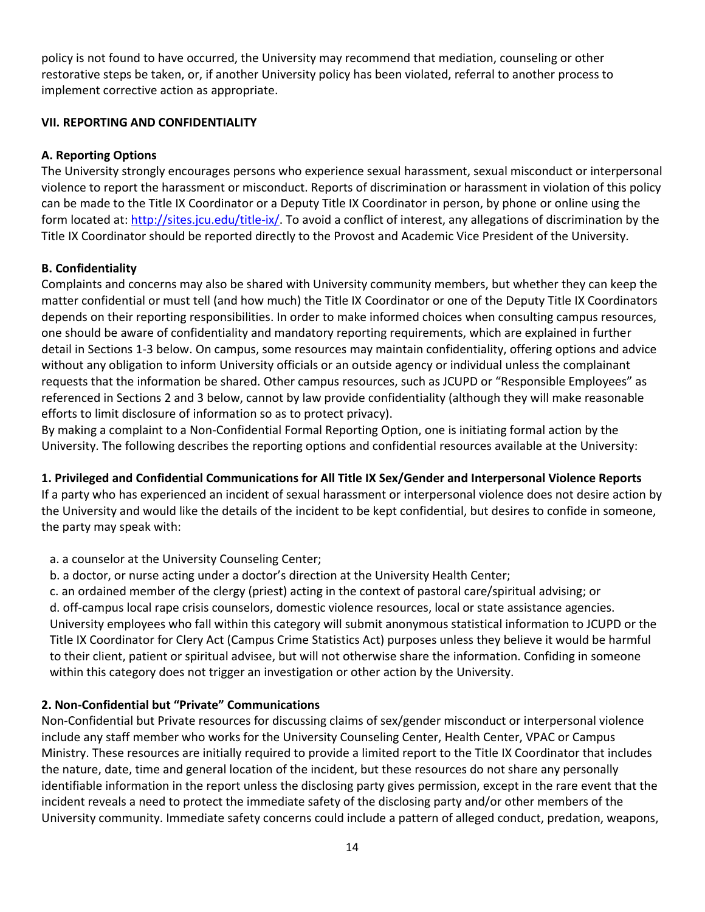policy is not found to have occurred, the University may recommend that mediation, counseling or other restorative steps be taken, or, if another University policy has been violated, referral to another process to implement corrective action as appropriate.

# **VII. REPORTING AND CONFIDENTIALITY**

# **A. Reporting Options**

The University strongly encourages persons who experience sexual harassment, sexual misconduct or interpersonal violence to report the harassment or misconduct. Reports of discrimination or harassment in violation of this policy can be made to the Title IX Coordinator or a Deputy Title IX Coordinator in person, by phone or online using the form located at[: http://sites.jcu.edu/title-ix/.](http://sites.jcu.edu/title-ix/) To avoid a conflict of interest, any allegations of discrimination by the Title IX Coordinator should be reported directly to the Provost and Academic Vice President of the University.

# **B. Confidentiality**

Complaints and concerns may also be shared with University community members, but whether they can keep the matter confidential or must tell (and how much) the Title IX Coordinator or one of the Deputy Title IX Coordinators depends on their reporting responsibilities. In order to make informed choices when consulting campus resources, one should be aware of confidentiality and mandatory reporting requirements, which are explained in further detail in Sections 1-3 below. On campus, some resources may maintain confidentiality, offering options and advice without any obligation to inform University officials or an outside agency or individual unless the complainant requests that the information be shared. Other campus resources, such as JCUPD or "Responsible Employees" as referenced in Sections 2 and 3 below, cannot by law provide confidentiality (although they will make reasonable efforts to limit disclosure of information so as to protect privacy).

By making a complaint to a Non-Confidential Formal Reporting Option, one is initiating formal action by the University. The following describes the reporting options and confidential resources available at the University:

# **1. Privileged and Confidential Communications for All Title IX Sex/Gender and Interpersonal Violence Reports**

If a party who has experienced an incident of sexual harassment or interpersonal violence does not desire action by the University and would like the details of the incident to be kept confidential, but desires to confide in someone, the party may speak with:

- a. a counselor at the University Counseling Center;
- b. a doctor, or nurse acting under a doctor's direction at the University Health Center;

c. an ordained member of the clergy (priest) acting in the context of pastoral care/spiritual advising; or d. off-campus local rape crisis counselors, domestic violence resources, local or state assistance agencies. University employees who fall within this category will submit anonymous statistical information to JCUPD or the Title IX Coordinator for Clery Act (Campus Crime Statistics Act) purposes unless they believe it would be harmful to their client, patient or spiritual advisee, but will not otherwise share the information. Confiding in someone within this category does not trigger an investigation or other action by the University.

# **2. Non-Confidential but "Private" Communications**

Non-Confidential but Private resources for discussing claims of sex/gender misconduct or interpersonal violence include any staff member who works for the University Counseling Center, Health Center, VPAC or Campus Ministry. These resources are initially required to provide a limited report to the Title IX Coordinator that includes the nature, date, time and general location of the incident, but these resources do not share any personally identifiable information in the report unless the disclosing party gives permission, except in the rare event that the incident reveals a need to protect the immediate safety of the disclosing party and/or other members of the University community. Immediate safety concerns could include a pattern of alleged conduct, predation, weapons,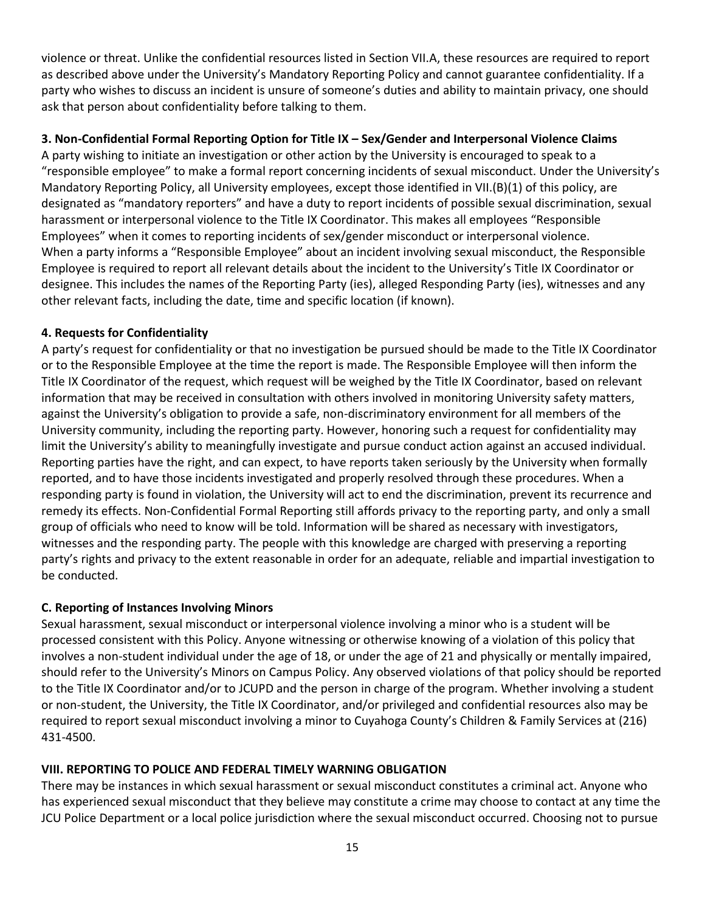violence or threat. Unlike the confidential resources listed in Section VII.A, these resources are required to report as described above under the University's Mandatory Reporting Policy and cannot guarantee confidentiality. If a party who wishes to discuss an incident is unsure of someone's duties and ability to maintain privacy, one should ask that person about confidentiality before talking to them.

# **3. Non-Confidential Formal Reporting Option for Title IX – Sex/Gender and Interpersonal Violence Claims**

A party wishing to initiate an investigation or other action by the University is encouraged to speak to a "responsible employee" to make a formal report concerning incidents of sexual misconduct. Under the University's Mandatory Reporting Policy, all University employees, except those identified in VII.(B)(1) of this policy, are designated as "mandatory reporters" and have a duty to report incidents of possible sexual discrimination, sexual harassment or interpersonal violence to the Title IX Coordinator. This makes all employees "Responsible Employees" when it comes to reporting incidents of sex/gender misconduct or interpersonal violence. When a party informs a "Responsible Employee" about an incident involving sexual misconduct, the Responsible Employee is required to report all relevant details about the incident to the University's Title IX Coordinator or designee. This includes the names of the Reporting Party (ies), alleged Responding Party (ies), witnesses and any other relevant facts, including the date, time and specific location (if known).

# **4. Requests for Confidentiality**

A party's request for confidentiality or that no investigation be pursued should be made to the Title IX Coordinator or to the Responsible Employee at the time the report is made. The Responsible Employee will then inform the Title IX Coordinator of the request, which request will be weighed by the Title IX Coordinator, based on relevant information that may be received in consultation with others involved in monitoring University safety matters, against the University's obligation to provide a safe, non-discriminatory environment for all members of the University community, including the reporting party. However, honoring such a request for confidentiality may limit the University's ability to meaningfully investigate and pursue conduct action against an accused individual. Reporting parties have the right, and can expect, to have reports taken seriously by the University when formally reported, and to have those incidents investigated and properly resolved through these procedures. When a responding party is found in violation, the University will act to end the discrimination, prevent its recurrence and remedy its effects. Non-Confidential Formal Reporting still affords privacy to the reporting party, and only a small group of officials who need to know will be told. Information will be shared as necessary with investigators, witnesses and the responding party. The people with this knowledge are charged with preserving a reporting party's rights and privacy to the extent reasonable in order for an adequate, reliable and impartial investigation to be conducted.

# **C. Reporting of Instances Involving Minors**

Sexual harassment, sexual misconduct or interpersonal violence involving a minor who is a student will be processed consistent with this Policy. Anyone witnessing or otherwise knowing of a violation of this policy that involves a non-student individual under the age of 18, or under the age of 21 and physically or mentally impaired, should refer to the University's Minors on Campus Policy. Any observed violations of that policy should be reported to the Title IX Coordinator and/or to JCUPD and the person in charge of the program. Whether involving a student or non-student, the University, the Title IX Coordinator, and/or privileged and confidential resources also may be required to report sexual misconduct involving a minor to Cuyahoga County's Children & Family Services at (216) 431-4500.

# **VIII. REPORTING TO POLICE AND FEDERAL TIMELY WARNING OBLIGATION**

There may be instances in which sexual harassment or sexual misconduct constitutes a criminal act. Anyone who has experienced sexual misconduct that they believe may constitute a crime may choose to contact at any time the JCU Police Department or a local police jurisdiction where the sexual misconduct occurred. Choosing not to pursue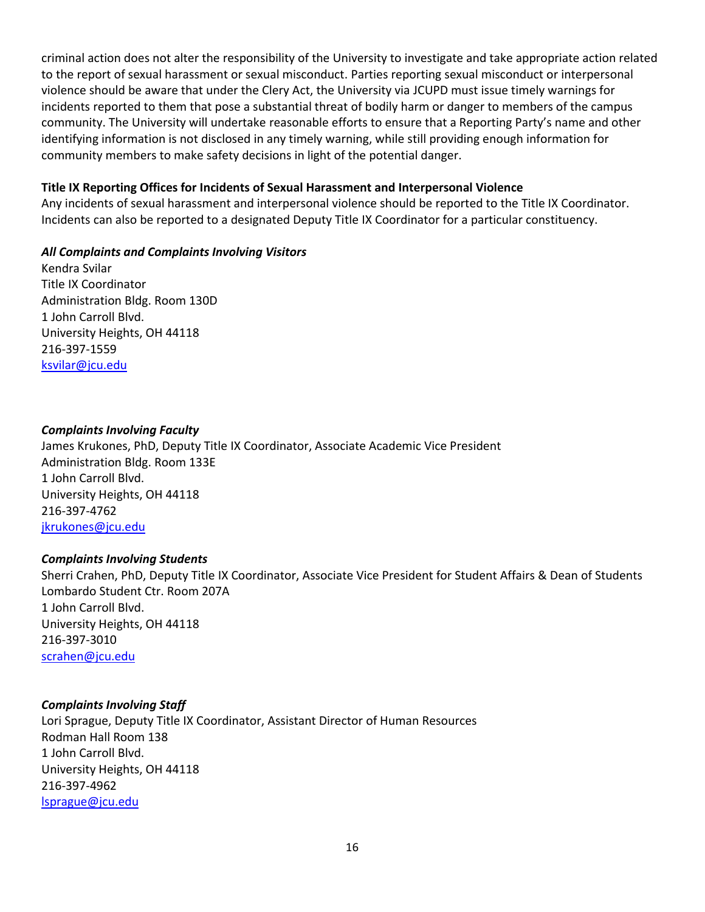criminal action does not alter the responsibility of the University to investigate and take appropriate action related to the report of sexual harassment or sexual misconduct. Parties reporting sexual misconduct or interpersonal violence should be aware that under the Clery Act, the University via JCUPD must issue timely warnings for incidents reported to them that pose a substantial threat of bodily harm or danger to members of the campus community. The University will undertake reasonable efforts to ensure that a Reporting Party's name and other identifying information is not disclosed in any timely warning, while still providing enough information for community members to make safety decisions in light of the potential danger.

#### **Title IX Reporting Offices for Incidents of Sexual Harassment and Interpersonal Violence**

Any incidents of sexual harassment and interpersonal violence should be reported to the Title IX Coordinator. Incidents can also be reported to a designated Deputy Title IX Coordinator for a particular constituency.

#### *All Complaints and Complaints Involving Visitors*

Kendra Svilar Title IX Coordinator Administration Bldg. Room 130D 1 John Carroll Blvd. University Heights, OH 44118 216-397-1559 [ksvilar@jcu.edu](mailto:ksvilar@jcu.edu)

# *Complaints Involving Faculty*

James Krukones, PhD, Deputy Title IX Coordinator, Associate Academic Vice President Administration Bldg. Room 133E 1 John Carroll Blvd. University Heights, OH 44118 216-397-4762 [jkrukones@jcu.edu](mailto:jkrukones@jcu.edu)

# *Complaints Involving Students*

Sherri Crahen, PhD, Deputy Title IX Coordinator, Associate Vice President for Student Affairs & Dean of Students Lombardo Student Ctr. Room 207A 1 John Carroll Blvd. University Heights, OH 44118 216-397-3010 [scrahen@jcu.edu](mailto:scrahen@jcu.edu)

#### *Complaints Involving Staff*

Lori Sprague, Deputy Title IX Coordinator, Assistant Director of Human Resources Rodman Hall Room 138 1 John Carroll Blvd. University Heights, OH 44118 216-397-4962 [lsprague@jcu.edu](mailto:lsprague@jcu.edu)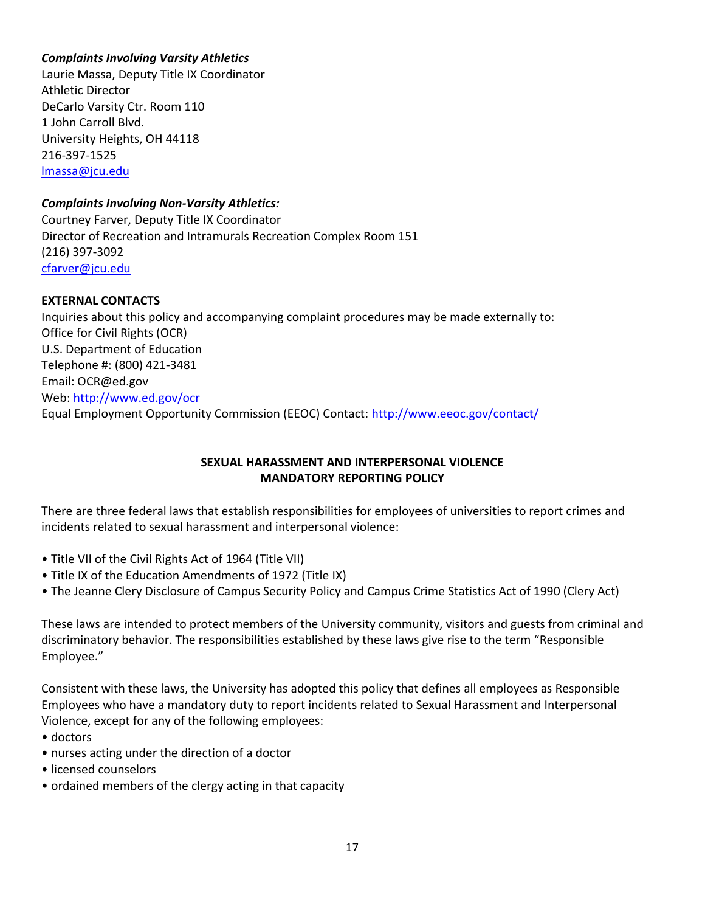# *Complaints Involving Varsity Athletics*

Laurie Massa, Deputy Title IX Coordinator Athletic Director DeCarlo Varsity Ctr. Room 110 1 John Carroll Blvd. University Heights, OH 44118 216-397-1525 [lmassa@jcu.edu](mailto:lmassa@jcu.edu)

# *Complaints Involving Non-Varsity Athletics:*

Courtney Farver, Deputy Title IX Coordinator Director of Recreation and Intramurals Recreation Complex Room 151 (216) 397-3092 [cfarver@jcu.edu](mailto:cfarver@jcu.edu)

# **EXTERNAL CONTACTS**

Inquiries about this policy and accompanying complaint procedures may be made externally to: Office for Civil Rights (OCR) U.S. Department of Education Telephone #: (800) 421-3481 Email: OCR@ed.gov Web[: http://www.ed.gov/ocr](http://www.ed.gov/ocr) Equal Employment Opportunity Commission (EEOC) Contact[: http://www.eeoc.gov/contact/](http://www.eeoc.gov/contact/)

# **SEXUAL HARASSMENT AND INTERPERSONAL VIOLENCE MANDATORY REPORTING POLICY**

There are three federal laws that establish responsibilities for employees of universities to report crimes and incidents related to sexual harassment and interpersonal violence:

- Title VII of the Civil Rights Act of 1964 (Title VII)
- Title IX of the Education Amendments of 1972 (Title IX)
- The Jeanne Clery Disclosure of Campus Security Policy and Campus Crime Statistics Act of 1990 (Clery Act)

These laws are intended to protect members of the University community, visitors and guests from criminal and discriminatory behavior. The responsibilities established by these laws give rise to the term "Responsible Employee."

Consistent with these laws, the University has adopted this policy that defines all employees as Responsible Employees who have a mandatory duty to report incidents related to Sexual Harassment and Interpersonal Violence, except for any of the following employees:

- doctors
- nurses acting under the direction of a doctor
- licensed counselors
- ordained members of the clergy acting in that capacity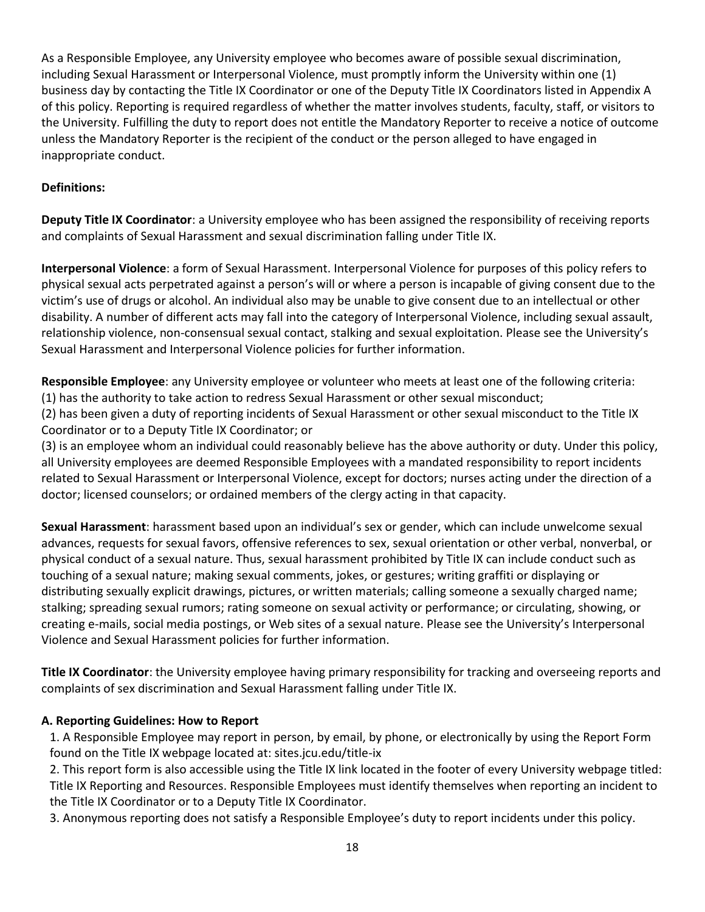As a Responsible Employee, any University employee who becomes aware of possible sexual discrimination, including Sexual Harassment or Interpersonal Violence, must promptly inform the University within one (1) business day by contacting the Title IX Coordinator or one of the Deputy Title IX Coordinators listed in Appendix A of this policy. Reporting is required regardless of whether the matter involves students, faculty, staff, or visitors to the University. Fulfilling the duty to report does not entitle the Mandatory Reporter to receive a notice of outcome unless the Mandatory Reporter is the recipient of the conduct or the person alleged to have engaged in inappropriate conduct.

# **Definitions:**

**Deputy Title IX Coordinator**: a University employee who has been assigned the responsibility of receiving reports and complaints of Sexual Harassment and sexual discrimination falling under Title IX.

**Interpersonal Violence**: a form of Sexual Harassment. Interpersonal Violence for purposes of this policy refers to physical sexual acts perpetrated against a person's will or where a person is incapable of giving consent due to the victim's use of drugs or alcohol. An individual also may be unable to give consent due to an intellectual or other disability. A number of different acts may fall into the category of Interpersonal Violence, including sexual assault, relationship violence, non-consensual sexual contact, stalking and sexual exploitation. Please see the University's Sexual Harassment and Interpersonal Violence policies for further information.

**Responsible Employee**: any University employee or volunteer who meets at least one of the following criteria: (1) has the authority to take action to redress Sexual Harassment or other sexual misconduct;

(2) has been given a duty of reporting incidents of Sexual Harassment or other sexual misconduct to the Title IX Coordinator or to a Deputy Title IX Coordinator; or

(3) is an employee whom an individual could reasonably believe has the above authority or duty. Under this policy, all University employees are deemed Responsible Employees with a mandated responsibility to report incidents related to Sexual Harassment or Interpersonal Violence, except for doctors; nurses acting under the direction of a doctor; licensed counselors; or ordained members of the clergy acting in that capacity.

**Sexual Harassment**: harassment based upon an individual's sex or gender, which can include unwelcome sexual advances, requests for sexual favors, offensive references to sex, sexual orientation or other verbal, nonverbal, or physical conduct of a sexual nature. Thus, sexual harassment prohibited by Title IX can include conduct such as touching of a sexual nature; making sexual comments, jokes, or gestures; writing graffiti or displaying or distributing sexually explicit drawings, pictures, or written materials; calling someone a sexually charged name; stalking; spreading sexual rumors; rating someone on sexual activity or performance; or circulating, showing, or creating e-mails, social media postings, or Web sites of a sexual nature. Please see the University's Interpersonal Violence and Sexual Harassment policies for further information.

**Title IX Coordinator**: the University employee having primary responsibility for tracking and overseeing reports and complaints of sex discrimination and Sexual Harassment falling under Title IX.

# **A. Reporting Guidelines: How to Report**

1. A Responsible Employee may report in person, by email, by phone, or electronically by using the Report Form found on the Title IX webpage located at: sites.jcu.edu/title-ix

2. This report form is also accessible using the Title IX link located in the footer of every University webpage titled: Title IX Reporting and Resources. Responsible Employees must identify themselves when reporting an incident to the Title IX Coordinator or to a Deputy Title IX Coordinator.

3. Anonymous reporting does not satisfy a Responsible Employee's duty to report incidents under this policy.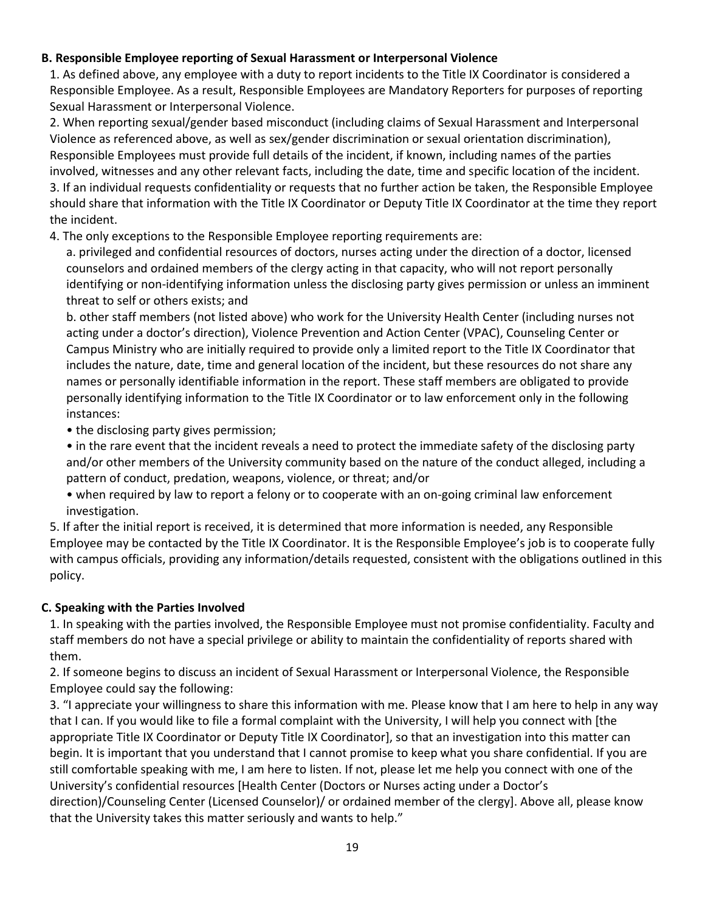# **B. Responsible Employee reporting of Sexual Harassment or Interpersonal Violence**

1. As defined above, any employee with a duty to report incidents to the Title IX Coordinator is considered a Responsible Employee. As a result, Responsible Employees are Mandatory Reporters for purposes of reporting Sexual Harassment or Interpersonal Violence.

2. When reporting sexual/gender based misconduct (including claims of Sexual Harassment and Interpersonal Violence as referenced above, as well as sex/gender discrimination or sexual orientation discrimination), Responsible Employees must provide full details of the incident, if known, including names of the parties involved, witnesses and any other relevant facts, including the date, time and specific location of the incident. 3. If an individual requests confidentiality or requests that no further action be taken, the Responsible Employee should share that information with the Title IX Coordinator or Deputy Title IX Coordinator at the time they report the incident.

4. The only exceptions to the Responsible Employee reporting requirements are:

a. privileged and confidential resources of doctors, nurses acting under the direction of a doctor, licensed counselors and ordained members of the clergy acting in that capacity, who will not report personally identifying or non-identifying information unless the disclosing party gives permission or unless an imminent threat to self or others exists; and

b. other staff members (not listed above) who work for the University Health Center (including nurses not acting under a doctor's direction), Violence Prevention and Action Center (VPAC), Counseling Center or Campus Ministry who are initially required to provide only a limited report to the Title IX Coordinator that includes the nature, date, time and general location of the incident, but these resources do not share any names or personally identifiable information in the report. These staff members are obligated to provide personally identifying information to the Title IX Coordinator or to law enforcement only in the following instances:

• the disclosing party gives permission;

• in the rare event that the incident reveals a need to protect the immediate safety of the disclosing party and/or other members of the University community based on the nature of the conduct alleged, including a pattern of conduct, predation, weapons, violence, or threat; and/or

• when required by law to report a felony or to cooperate with an on-going criminal law enforcement investigation.

5. If after the initial report is received, it is determined that more information is needed, any Responsible Employee may be contacted by the Title IX Coordinator. It is the Responsible Employee's job is to cooperate fully with campus officials, providing any information/details requested, consistent with the obligations outlined in this policy.

# **C. Speaking with the Parties Involved**

1. In speaking with the parties involved, the Responsible Employee must not promise confidentiality. Faculty and staff members do not have a special privilege or ability to maintain the confidentiality of reports shared with them.

2. If someone begins to discuss an incident of Sexual Harassment or Interpersonal Violence, the Responsible Employee could say the following:

3. "I appreciate your willingness to share this information with me. Please know that I am here to help in any way that I can. If you would like to file a formal complaint with the University, I will help you connect with [the appropriate Title IX Coordinator or Deputy Title IX Coordinator], so that an investigation into this matter can begin. It is important that you understand that I cannot promise to keep what you share confidential. If you are still comfortable speaking with me, I am here to listen. If not, please let me help you connect with one of the University's confidential resources [Health Center (Doctors or Nurses acting under a Doctor's direction)/Counseling Center (Licensed Counselor)/ or ordained member of the clergy]. Above all, please know that the University takes this matter seriously and wants to help."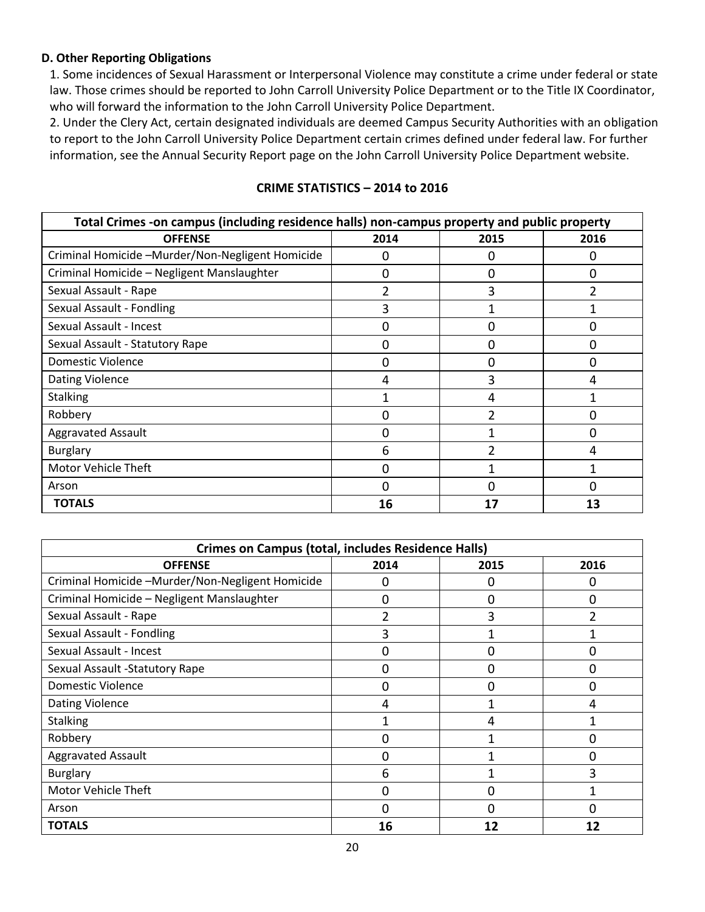#### **D. Other Reporting Obligations**

1. Some incidences of Sexual Harassment or Interpersonal Violence may constitute a crime under federal or state law. Those crimes should be reported to John Carroll University Police Department or to the Title IX Coordinator, who will forward the information to the John Carroll University Police Department.

2. Under the Clery Act, certain designated individuals are deemed Campus Security Authorities with an obligation to report to the John Carroll University Police Department certain crimes defined under federal law. For further information, see the Annual Security Report page on the John Carroll University Police Department website.

| Total Crimes -on campus (including residence halls) non-campus property and public property |          |      |                |  |  |  |
|---------------------------------------------------------------------------------------------|----------|------|----------------|--|--|--|
| <b>OFFENSE</b>                                                                              | 2014     | 2015 | 2016           |  |  |  |
| Criminal Homicide -Murder/Non-Negligent Homicide                                            | 0        |      | 0              |  |  |  |
| Criminal Homicide - Negligent Manslaughter                                                  | 0        | 0    | 0              |  |  |  |
| Sexual Assault - Rape                                                                       | 2        | 3    | $\overline{2}$ |  |  |  |
| Sexual Assault - Fondling                                                                   | 3        |      |                |  |  |  |
| Sexual Assault - Incest                                                                     | 0        | O    | 0              |  |  |  |
| Sexual Assault - Statutory Rape                                                             | $\Omega$ | 0    | 0              |  |  |  |
| Domestic Violence                                                                           | 0        | 0    | 0              |  |  |  |
| <b>Dating Violence</b>                                                                      | 4        | 3    | 4              |  |  |  |
| <b>Stalking</b>                                                                             |          |      |                |  |  |  |
| Robbery                                                                                     | 0        |      | 0              |  |  |  |
| <b>Aggravated Assault</b>                                                                   | 0        |      | 0              |  |  |  |
| Burglary                                                                                    | 6        | າ    | 4              |  |  |  |
| Motor Vehicle Theft                                                                         | 0        |      |                |  |  |  |
| Arson                                                                                       | 0        |      | 0              |  |  |  |
| <b>TOTALS</b>                                                                               | 16       | 17   | 13             |  |  |  |

# **CRIME STATISTICS – 2014 to 2016**

| <b>Crimes on Campus (total, includes Residence Halls)</b> |               |      |          |  |  |  |
|-----------------------------------------------------------|---------------|------|----------|--|--|--|
| <b>OFFENSE</b>                                            | 2014          | 2015 | 2016     |  |  |  |
| Criminal Homicide -Murder/Non-Negligent Homicide          | 0             | 0    | 0        |  |  |  |
| Criminal Homicide - Negligent Manslaughter                | 0             | 0    | $\Omega$ |  |  |  |
| Sexual Assault - Rape                                     | $\mathfrak z$ | 3    |          |  |  |  |
| Sexual Assault - Fondling                                 | 3             |      |          |  |  |  |
| Sexual Assault - Incest                                   | 0             | 0    | 0        |  |  |  |
| Sexual Assault -Statutory Rape                            | 0             | 0    | $\Omega$ |  |  |  |
| Domestic Violence                                         | 0             | 0    | $\Omega$ |  |  |  |
| <b>Dating Violence</b>                                    | 4             |      | 4        |  |  |  |
| <b>Stalking</b>                                           |               | 4    |          |  |  |  |
| Robbery                                                   | 0             |      | 0        |  |  |  |
| <b>Aggravated Assault</b>                                 | 0             |      | 0        |  |  |  |
| Burglary                                                  | 6             |      | 3        |  |  |  |
| <b>Motor Vehicle Theft</b>                                | 0             | 0    |          |  |  |  |
| Arson                                                     | 0             | 0    | 0        |  |  |  |
| <b>TOTALS</b>                                             | 16            | 12   | 12       |  |  |  |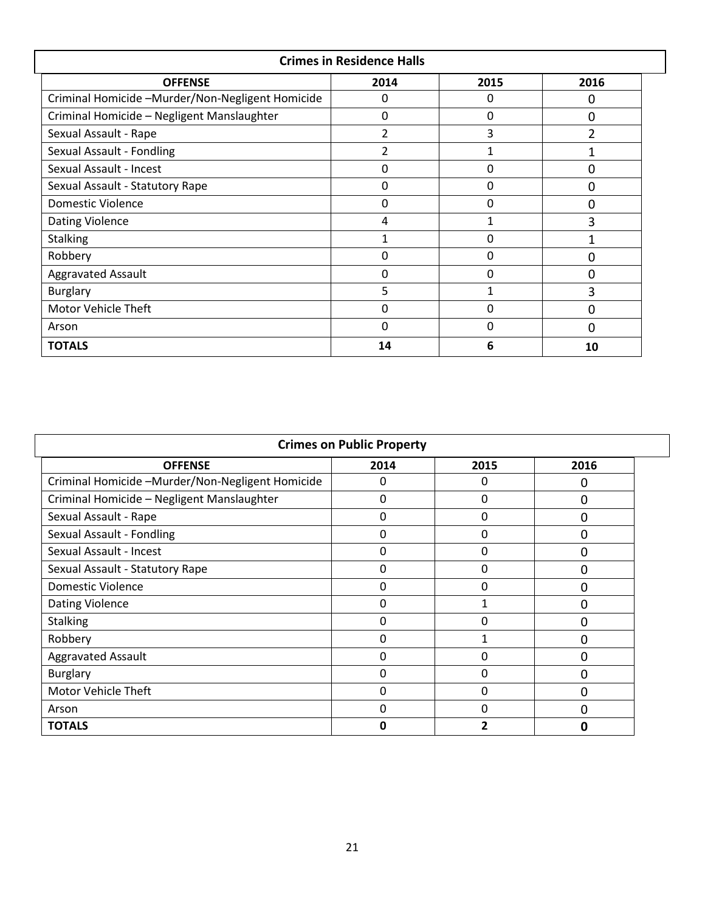| <b>Crimes in Residence Halls</b>                 |                |              |                |  |  |  |  |
|--------------------------------------------------|----------------|--------------|----------------|--|--|--|--|
| 2016<br><b>OFFENSE</b><br>2014<br>2015           |                |              |                |  |  |  |  |
| Criminal Homicide -Murder/Non-Negligent Homicide | 0              | $\mathbf{0}$ | $\Omega$       |  |  |  |  |
| Criminal Homicide - Negligent Manslaughter       | 0              | $\mathbf{0}$ | 0              |  |  |  |  |
| Sexual Assault - Rape                            | 2              | 3            | $\overline{2}$ |  |  |  |  |
| Sexual Assault - Fondling                        | $\overline{2}$ | $\mathbf{1}$ | 1              |  |  |  |  |
| Sexual Assault - Incest                          | 0              | $\Omega$     | $\Omega$       |  |  |  |  |
| Sexual Assault - Statutory Rape                  | 0              | $\Omega$     | $\Omega$       |  |  |  |  |
| Domestic Violence                                | 0              | $\Omega$     | $\Omega$       |  |  |  |  |
| <b>Dating Violence</b>                           | 4              | 1            | 3              |  |  |  |  |
| <b>Stalking</b>                                  | 1              | $\Omega$     |                |  |  |  |  |
| Robbery                                          | 0              | $\Omega$     | $\Omega$       |  |  |  |  |
| <b>Aggravated Assault</b>                        | 0              | $\Omega$     | $\Omega$       |  |  |  |  |
| <b>Burglary</b>                                  | 5              | 1            | 3              |  |  |  |  |
| Motor Vehicle Theft                              | 0              | $\Omega$     | 0              |  |  |  |  |
| Arson                                            | 0              | 0            | $\Omega$       |  |  |  |  |
| <b>TOTALS</b>                                    | 14             | 6            | 10             |  |  |  |  |

| <b>Crimes on Public Property</b>                 |      |      |          |  |  |
|--------------------------------------------------|------|------|----------|--|--|
| <b>OFFENSE</b>                                   | 2014 | 2015 | 2016     |  |  |
| Criminal Homicide -Murder/Non-Negligent Homicide | 0    | 0    | O        |  |  |
| Criminal Homicide - Negligent Manslaughter       | 0    | 0    | $\Omega$ |  |  |
| Sexual Assault - Rape                            | 0    | 0    | $\Omega$ |  |  |
| Sexual Assault - Fondling                        | 0    | 0    | 0        |  |  |
| Sexual Assault - Incest                          | 0    | 0    | $\Omega$ |  |  |
| Sexual Assault - Statutory Rape                  | 0    | 0    |          |  |  |
| Domestic Violence                                | 0    | 0    |          |  |  |
| <b>Dating Violence</b>                           | 0    |      | 0        |  |  |
| <b>Stalking</b>                                  | 0    | 0    | $\Omega$ |  |  |
| Robbery                                          | 0    | 1    | $\Omega$ |  |  |
| <b>Aggravated Assault</b>                        | 0    | 0    | $\Omega$ |  |  |
| <b>Burglary</b>                                  | 0    | 0    | O        |  |  |
| Motor Vehicle Theft                              | 0    | 0    | 0        |  |  |
| Arson                                            | 0    | 0    | $\Omega$ |  |  |
| <b>TOTALS</b>                                    | O    |      | n        |  |  |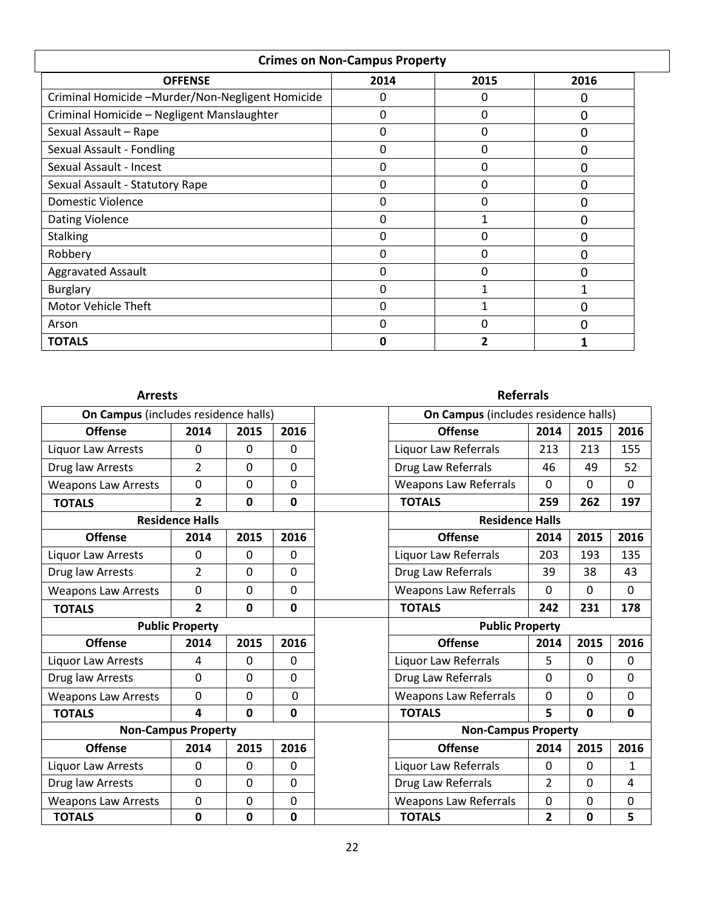| <b>Crimes on Non-Campus Property</b>             |      |      |      |  |  |  |
|--------------------------------------------------|------|------|------|--|--|--|
| <b>OFFENSE</b>                                   | 2014 | 2015 | 2016 |  |  |  |
| Criminal Homicide -Murder/Non-Negligent Homicide | 0    | 0    | 0    |  |  |  |
| Criminal Homicide - Negligent Manslaughter       | 0    | 0    | ი    |  |  |  |
| Sexual Assault - Rape                            | 0    | 0    | ი    |  |  |  |
| Sexual Assault - Fondling                        | 0    | 0    | Ω    |  |  |  |
| Sexual Assault - Incest                          | 0    | 0    |      |  |  |  |
| Sexual Assault - Statutory Rape                  | 0    | 0    | 0    |  |  |  |
| <b>Domestic Violence</b>                         | 0    | 0    | ი    |  |  |  |
| <b>Dating Violence</b>                           | 0    |      | 0    |  |  |  |
| <b>Stalking</b>                                  | 0    | 0    | ი    |  |  |  |
| Robbery                                          | 0    | 0    | ი    |  |  |  |
| <b>Aggravated Assault</b>                        | 0    | 0    | 0    |  |  |  |
| Burglary                                         | 0    |      |      |  |  |  |
| <b>Motor Vehicle Theft</b>                       | 0    |      | O    |  |  |  |
| Arson                                            | 0    | 0    | ი    |  |  |  |
| <b>TOTALS</b>                                    | O    | 2    |      |  |  |  |

# **Arrests Referrals**

| On Campus (includes residence halls) |                            |                |                        | On Campus (includes residence halls) |                            |                |              |
|--------------------------------------|----------------------------|----------------|------------------------|--------------------------------------|----------------------------|----------------|--------------|
| <b>Offense</b>                       | 2014                       | 2015           | 2016                   | <b>Offense</b>                       | 2014                       | 2015           | 2016         |
| Liquor Law Arrests                   | $\Omega$                   | $\mathbf 0$    | $\Omega$               | Liquor Law Referrals                 | 213                        | 213            | 155          |
| Drug law Arrests                     | $\overline{2}$             | $\mathbf 0$    | $\Omega$               | Drug Law Referrals                   | 46                         | 49             | 52           |
| <b>Weapons Law Arrests</b>           | 0                          | $\overline{0}$ | $\mathbf{0}$           | <b>Weapons Law Referrals</b>         | $\mathbf{0}$               | $\mathbf 0$    | $\mathbf 0$  |
| <b>TOTALS</b>                        | $\overline{2}$             | $\mathbf 0$    | $\mathbf{0}$           | <b>TOTALS</b>                        | 259                        | 262            | 197          |
|                                      | <b>Residence Halls</b>     |                |                        | <b>Residence Halls</b>               |                            |                |              |
| <b>Offense</b>                       | 2014                       | 2015           | 2016                   | <b>Offense</b>                       | 2014                       | 2015           | 2016         |
| Liquor Law Arrests                   | $\Omega$                   | $\Omega$       | $\Omega$               | Liquor Law Referrals                 | 203                        | 193            | 135          |
| Drug law Arrests                     | $\overline{2}$             | $\Omega$       | $\Omega$               | Drug Law Referrals                   | 39                         | 38             | 43           |
| <b>Weapons Law Arrests</b>           | $\overline{0}$             | $\mathbf 0$    | $\Omega$               | <b>Weapons Law Referrals</b>         | $\Omega$                   | $\Omega$       | $\Omega$     |
| <b>TOTALS</b>                        | $\overline{2}$             | $\mathbf 0$    | $\mathbf 0$            | <b>TOTALS</b>                        | 242                        | 231            | 178          |
| <b>Public Property</b>               |                            |                | <b>Public Property</b> |                                      |                            |                |              |
| <b>Offense</b>                       | 2014                       | 2015           | 2016                   | <b>Offense</b>                       | 2014                       | 2015           | 2016         |
| Liquor Law Arrests                   | 4                          | $\mathbf 0$    | $\Omega$               | Liquor Law Referrals                 | 5                          | $\mathbf{0}$   | $\Omega$     |
| Drug law Arrests                     | $\mathbf 0$                | $\mathbf 0$    | $\Omega$               | Drug Law Referrals                   | $\mathbf 0$                | $\Omega$       | $\mathbf{0}$ |
| <b>Weapons Law Arrests</b>           | $\mathbf 0$                | $\overline{0}$ | $\overline{0}$         | <b>Weapons Law Referrals</b>         | 0                          | 0              | $\mathbf{0}$ |
| <b>TOTALS</b>                        | 4                          | $\Omega$       | 0                      | <b>TOTALS</b>                        | 5                          | $\mathbf{0}$   | 0            |
|                                      | <b>Non-Campus Property</b> |                |                        |                                      | <b>Non-Campus Property</b> |                |              |
| <b>Offense</b>                       | 2014                       | 2015           | 2016                   | <b>Offense</b>                       | 2014                       | 2015           | 2016         |
| Liquor Law Arrests                   | $\mathbf 0$                | $\mathbf 0$    | $\mathbf{0}$           | Liquor Law Referrals                 | 0                          | $\mathbf{0}$   | $\mathbf{1}$ |
| Drug law Arrests                     | $\overline{0}$             | $\mathbf 0$    | $\mathbf{0}$           | Drug Law Referrals                   | $\overline{2}$             | $\overline{0}$ | 4            |
| <b>Weapons Law Arrests</b>           | $\mathbf 0$                | $\mathbf 0$    | $\mathbf 0$            | <b>Weapons Law Referrals</b>         | 0                          | $\mathbf 0$    | $\mathbf 0$  |
| <b>TOTALS</b>                        | $\mathbf 0$                | 0              | $\mathbf 0$            | <b>TOTALS</b>                        | 2                          | 0              | 5            |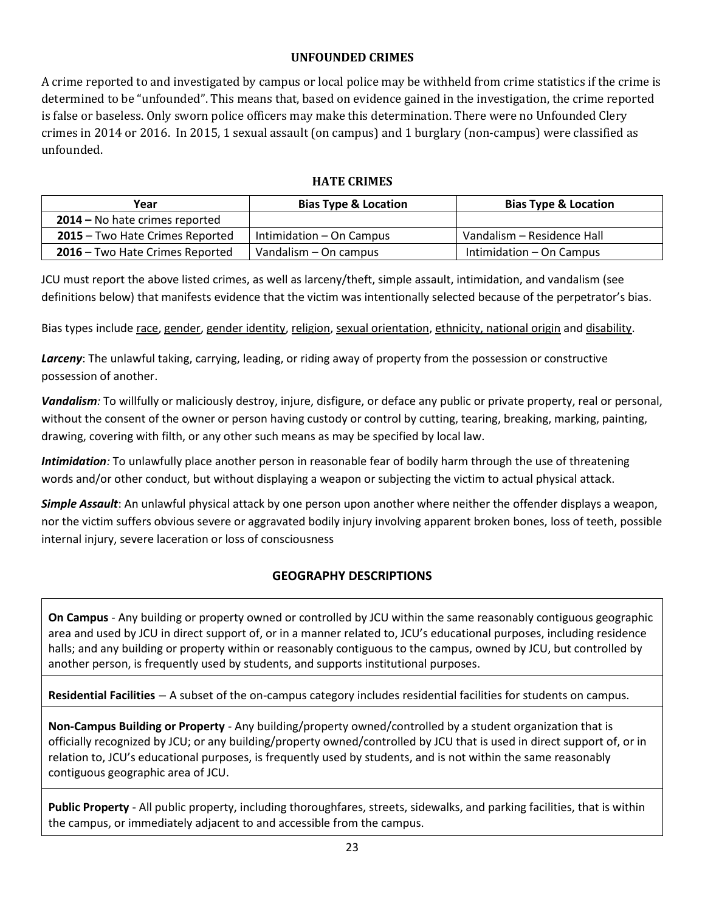# **UNFOUNDED CRIMES**

A crime reported to and investigated by campus or local police may be withheld from crime statistics if the crime is determined to be "unfounded". This means that, based on evidence gained in the investigation, the crime reported is false or baseless. Only sworn police officers may make this determination. There were no Unfounded Clery crimes in 2014 or 2016. In 2015, 1 sexual assault (on campus) and 1 burglary (non-campus) were classified as unfounded.

# **HATE CRIMES**

| Year                            | <b>Bias Type &amp; Location</b> | <b>Bias Type &amp; Location</b> |
|---------------------------------|---------------------------------|---------------------------------|
| 2014 - No hate crimes reported  |                                 |                                 |
| 2015 - Two Hate Crimes Reported | Intimidation – On Campus        | Vandalism - Residence Hall      |
| 2016 – Two Hate Crimes Reported | Vandalism – On campus           | Intimidation – On Campus        |

JCU must report the above listed crimes, as well as larceny/theft, simple assault, intimidation, and vandalism (see definitions below) that manifests evidence that the victim was intentionally selected because of the perpetrator's bias.

Bias types include race, gender, gender identity, religion, sexual orientation, ethnicity, national origin and disability.

*Larceny*: The unlawful taking, carrying, leading, or riding away of property from the possession or constructive possession of another.

*Vandalism:* To willfully or maliciously destroy, injure, disfigure, or deface any public or private property, real or personal, without the consent of the owner or person having custody or control by cutting, tearing, breaking, marking, painting, drawing, covering with filth, or any other such means as may be specified by local law.

*Intimidation:* To unlawfully place another person in reasonable fear of bodily harm through the use of threatening words and/or other conduct, but without displaying a weapon or subjecting the victim to actual physical attack.

*Simple Assault*: An unlawful physical attack by one person upon another where neither the offender displays a weapon, nor the victim suffers obvious severe or aggravated bodily injury involving apparent broken bones, loss of teeth, possible internal injury, severe laceration or loss of consciousness

# **GEOGRAPHY DESCRIPTIONS**

**On Campus** *-* Any building or property owned or controlled by JCU within the same reasonably contiguous geographic area and used by JCU in direct support of, or in a manner related to, JCU's educational purposes, including residence halls; and any building or property within or reasonably contiguous to the campus, owned by JCU, but controlled by another person, is frequently used by students, and supports institutional purposes.

**Residential Facilities** *–* A subset of the on-campus category includes residential facilities for students on campus.

**Non-Campus Building or Property** - Any building/property owned/controlled by a student organization that is officially recognized by JCU; or any building/property owned/controlled by JCU that is used in direct support of, or in relation to, JCU's educational purposes, is frequently used by students, and is not within the same reasonably contiguous geographic area of JCU.

**Public Property** - All public property, including thoroughfares, streets, sidewalks, and parking facilities, that is within the campus, or immediately adjacent to and accessible from the campus.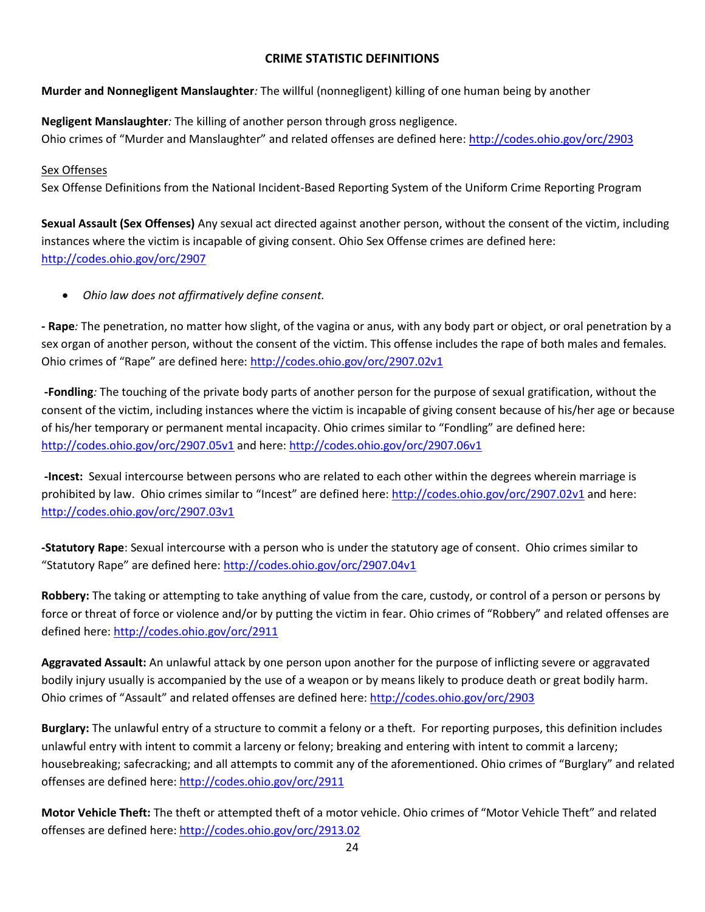# **CRIME STATISTIC DEFINITIONS**

**Murder and Nonnegligent Manslaughter***:* The willful (nonnegligent) killing of one human being by another

**Negligent Manslaughter***:* The killing of another person through gross negligence. Ohio crimes of "Murder and Manslaughter" and related offenses are defined here:<http://codes.ohio.gov/orc/2903>

#### Sex Offenses

Sex Offense Definitions from the National Incident-Based Reporting System of the Uniform Crime Reporting Program

**Sexual Assault (Sex Offenses)** Any sexual act directed against another person, without the consent of the victim, including instances where the victim is incapable of giving consent. Ohio Sex Offense crimes are defined here: <http://codes.ohio.gov/orc/2907>

*Ohio law does not affirmatively define consent.*

**- Rape***:* The penetration, no matter how slight, of the vagina or anus, with any body part or object, or oral penetration by a sex organ of another person, without the consent of the victim. This offense includes the rape of both males and females*.*  Ohio crimes of "Rape" are defined here: <http://codes.ohio.gov/orc/2907.02v1>

**-Fondling***:* The touching of the private body parts of another person for the purpose of sexual gratification, without the consent of the victim, including instances where the victim is incapable of giving consent because of his/her age or because of his/her temporary or permanent mental incapacity. Ohio crimes similar to "Fondling" are defined here: <http://codes.ohio.gov/orc/2907.05v1> and here:<http://codes.ohio.gov/orc/2907.06v1>

**-Incest:** Sexual intercourse between persons who are related to each other within the degrees wherein marriage is prohibited by law. Ohio crimes similar to "Incest" are defined here: <http://codes.ohio.gov/orc/2907.02v1> and here: <http://codes.ohio.gov/orc/2907.03v1>

**-Statutory Rape**: Sexual intercourse with a person who is under the statutory age of consent. Ohio crimes similar to "Statutory Rape" are defined here: <http://codes.ohio.gov/orc/2907.04v1>

**Robbery:** The taking or attempting to take anything of value from the care, custody, or control of a person or persons by force or threat of force or violence and/or by putting the victim in fear. Ohio crimes of "Robbery" and related offenses are defined here[: http://codes.ohio.gov/orc/2911](http://codes.ohio.gov/orc/2911)

**Aggravated Assault:** An unlawful attack by one person upon another for the purpose of inflicting severe or aggravated bodily injury usually is accompanied by the use of a weapon or by means likely to produce death or great bodily harm. Ohio crimes of "Assault" and related offenses are defined here[: http://codes.ohio.gov/orc/2903](http://codes.ohio.gov/orc/2903)

**Burglary:** The unlawful entry of a structure to commit a felony or a theft. For reporting purposes, this definition includes unlawful entry with intent to commit a larceny or felony; breaking and entering with intent to commit a larceny; housebreaking; safecracking; and all attempts to commit any of the aforementioned. Ohio crimes of "Burglary" and related offenses are defined here:<http://codes.ohio.gov/orc/2911>

**Motor Vehicle Theft:** The theft or attempted theft of a motor vehicle. Ohio crimes of "Motor Vehicle Theft" and related offenses are defined here:<http://codes.ohio.gov/orc/2913.02>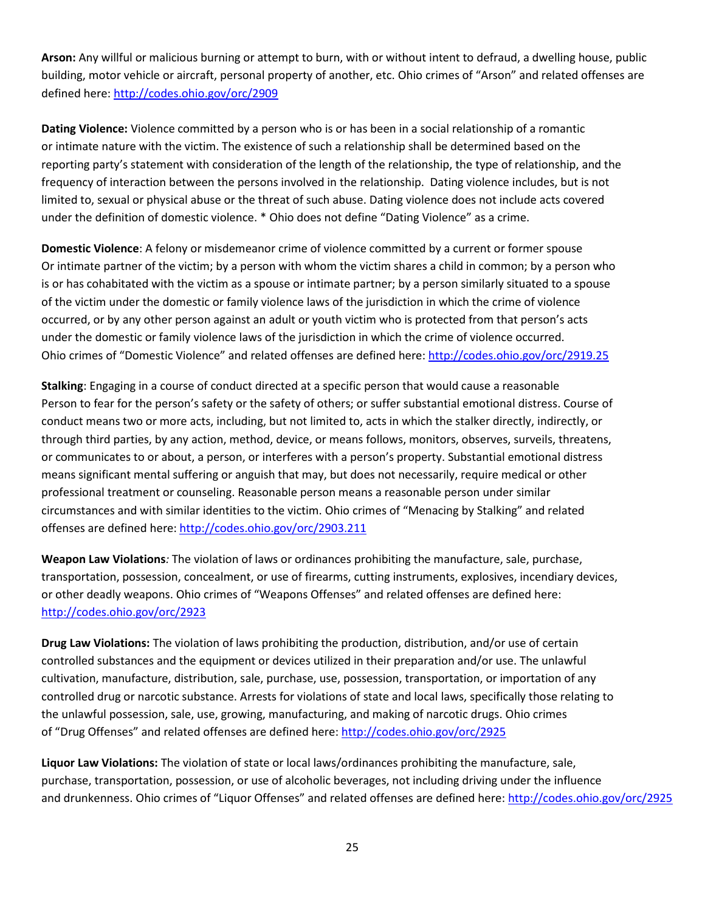**Arson:** Any willful or malicious burning or attempt to burn, with or without intent to defraud, a dwelling house, public building, motor vehicle or aircraft, personal property of another, etc. Ohio crimes of "Arson" and related offenses are defined here[: http://codes.ohio.gov/orc/2909](http://codes.ohio.gov/orc/2909)

**Dating Violence:** Violence committed by a person who is or has been in a social relationship of a romantic or intimate nature with the victim. The existence of such a relationship shall be determined based on the reporting party's statement with consideration of the length of the relationship, the type of relationship, and the frequency of interaction between the persons involved in the relationship. Dating violence includes, but is not limited to, sexual or physical abuse or the threat of such abuse. Dating violence does not include acts covered under the definition of domestic violence. \* Ohio does not define "Dating Violence" as a crime.

**Domestic Violence**: A felony or misdemeanor crime of violence committed by a current or former spouse Or intimate partner of the victim; by a person with whom the victim shares a child in common; by a person who is or has cohabitated with the victim as a spouse or intimate partner; by a person similarly situated to a spouse of the victim under the domestic or family violence laws of the jurisdiction in which the crime of violence occurred, or by any other person against an adult or youth victim who is protected from that person's acts under the domestic or family violence laws of the jurisdiction in which the crime of violence occurred. Ohio crimes of "Domestic Violence" and related offenses are defined here:<http://codes.ohio.gov/orc/2919.25>

**Stalking**: Engaging in a course of conduct directed at a specific person that would cause a reasonable Person to fear for the person's safety or the safety of others; or suffer substantial emotional distress. Course of conduct means two or more acts, including, but not limited to, acts in which the stalker directly, indirectly, or through third parties, by any action, method, device, or means follows, monitors, observes, surveils, threatens, or communicates to or about, a person, or interferes with a person's property. Substantial emotional distress means significant mental suffering or anguish that may, but does not necessarily, require medical or other professional treatment or counseling. Reasonable person means a reasonable person under similar circumstances and with similar identities to the victim. Ohio crimes of "Menacing by Stalking" and related offenses are defined here:<http://codes.ohio.gov/orc/2903.211>

**Weapon Law Violations***:* The violation of laws or ordinances prohibiting the manufacture, sale, purchase, transportation, possession, concealment, or use of firearms, cutting instruments, explosives, incendiary devices, or other deadly weapons. Ohio crimes of "Weapons Offenses" and related offenses are defined here: <http://codes.ohio.gov/orc/2923>

**Drug Law Violations:** The violation of laws prohibiting the production, distribution, and/or use of certain controlled substances and the equipment or devices utilized in their preparation and/or use. The unlawful cultivation, manufacture, distribution, sale, purchase, use, possession, transportation, or importation of any controlled drug or narcotic substance. Arrests for violations of state and local laws, specifically those relating to the unlawful possession, sale, use, growing, manufacturing, and making of narcotic drugs. Ohio crimes of "Drug Offenses" and related offenses are defined here[: http://codes.ohio.gov/orc/2925](http://codes.ohio.gov/orc/2925)

**Liquor Law Violations:** The violation of state or local laws/ordinances prohibiting the manufacture, sale, purchase, transportation, possession, or use of alcoholic beverages, not including driving under the influence and drunkenness. Ohio crimes of "Liquor Offenses" and related offenses are defined here: <http://codes.ohio.gov/orc/2925>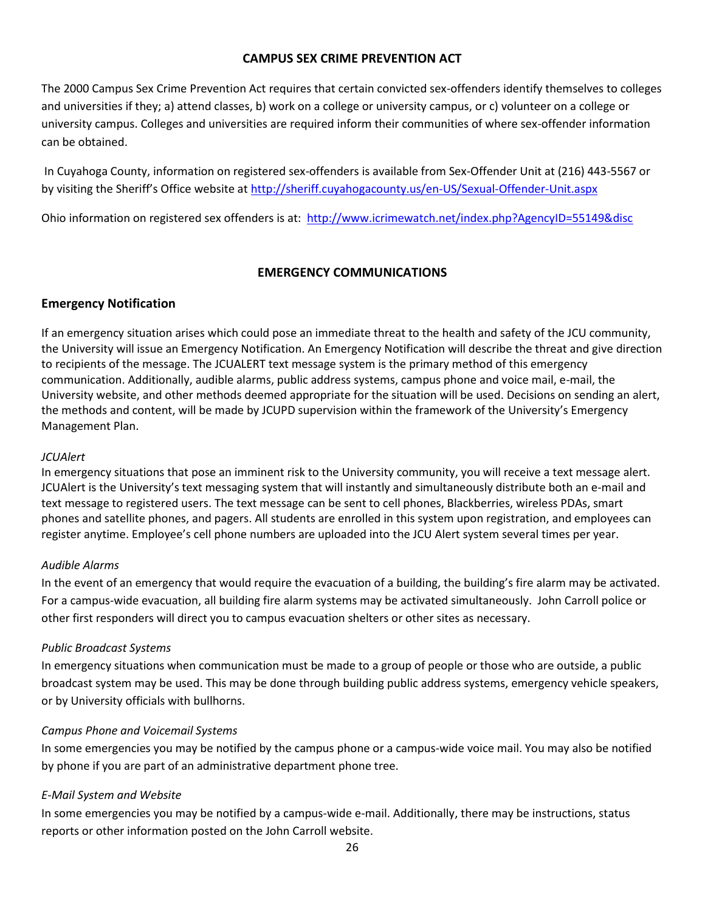#### **CAMPUS SEX CRIME PREVENTION ACT**

The 2000 Campus Sex Crime Prevention Act requires that certain convicted sex-offenders identify themselves to colleges and universities if they; a) attend classes, b) work on a college or university campus, or c) volunteer on a college or university campus. Colleges and universities are required inform their communities of where sex-offender information can be obtained.

In Cuyahoga County, information on registered sex-offenders is available from Sex-Offender Unit at (216) 443-5567 or by visiting the Sheriff's Office website at <http://sheriff.cuyahogacounty.us/en-US/Sexual-Offender-Unit.aspx>

Ohio information on registered sex offenders is at:<http://www.icrimewatch.net/index.php?AgencyID=55149&disc>

#### **EMERGENCY COMMUNICATIONS**

#### **Emergency Notification**

If an emergency situation arises which could pose an immediate threat to the health and safety of the JCU community, the University will issue an Emergency Notification. An Emergency Notification will describe the threat and give direction to recipients of the message. The JCUALERT text message system is the primary method of this emergency communication. Additionally, audible alarms, public address systems, campus phone and voice mail, e-mail, the University website, and other methods deemed appropriate for the situation will be used. Decisions on sending an alert, the methods and content, will be made by JCUPD supervision within the framework of the University's Emergency Management Plan.

#### *JCUAlert*

In emergency situations that pose an imminent risk to the University community, you will receive a text message alert. JCUAlert is the University's text messaging system that will instantly and simultaneously distribute both an e-mail and text message to registered users. The text message can be sent to cell phones, Blackberries, wireless PDAs, smart phones and satellite phones, and pagers. All students are enrolled in this system upon registration, and employees can register anytime. Employee's cell phone numbers are uploaded into the JCU Alert system several times per year.

#### *Audible Alarms*

In the event of an emergency that would require the evacuation of a building, the building's fire alarm may be activated. For a campus-wide evacuation, all building fire alarm systems may be activated simultaneously. John Carroll police or other first responders will direct you to campus evacuation shelters or other sites as necessary.

#### *Public Broadcast Systems*

In emergency situations when communication must be made to a group of people or those who are outside, a public broadcast system may be used. This may be done through building public address systems, emergency vehicle speakers, or by University officials with bullhorns.

#### *Campus Phone and Voicemail Systems*

In some emergencies you may be notified by the campus phone or a campus-wide voice mail. You may also be notified by phone if you are part of an administrative department phone tree.

#### *E-Mail System and Website*

In some emergencies you may be notified by a campus-wide e-mail. Additionally, there may be instructions, status reports or other information posted on the John Carroll website.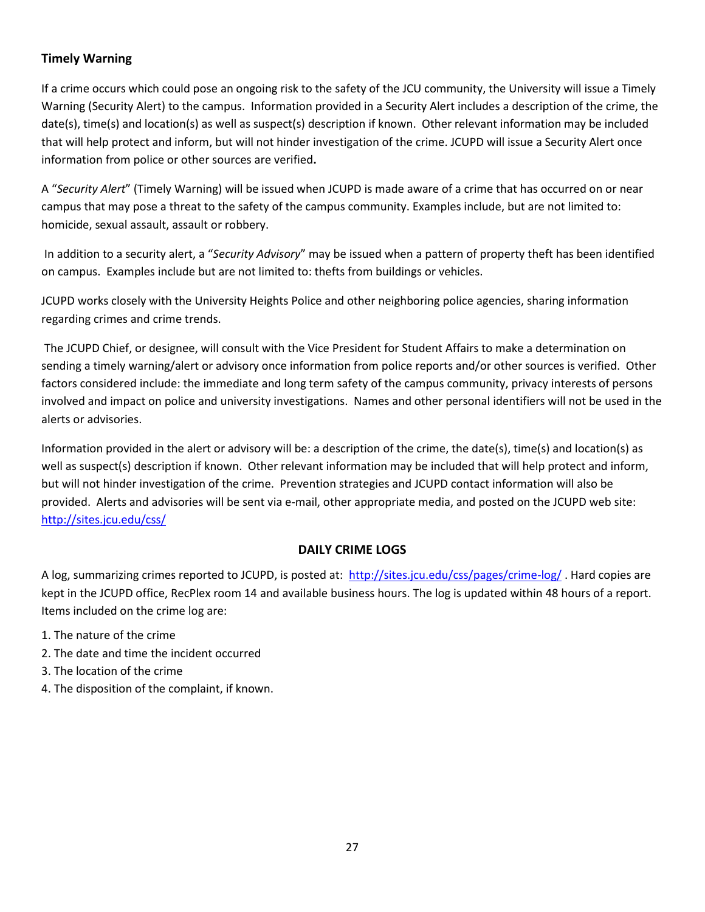# **Timely Warning**

If a crime occurs which could pose an ongoing risk to the safety of the JCU community, the University will issue a Timely Warning (Security Alert) to the campus. Information provided in a Security Alert includes a description of the crime, the date(s), time(s) and location(s) as well as suspect(s) description if known. Other relevant information may be included that will help protect and inform, but will not hinder investigation of the crime. JCUPD will issue a Security Alert once information from police or other sources are verified**.** 

A "*Security Alert*" (Timely Warning) will be issued when JCUPD is made aware of a crime that has occurred on or near campus that may pose a threat to the safety of the campus community. Examples include, but are not limited to: homicide, sexual assault, assault or robbery.

In addition to a security alert, a "*Security Advisory*" may be issued when a pattern of property theft has been identified on campus. Examples include but are not limited to: thefts from buildings or vehicles.

JCUPD works closely with the University Heights Police and other neighboring police agencies, sharing information regarding crimes and crime trends.

The JCUPD Chief, or designee, will consult with the Vice President for Student Affairs to make a determination on sending a timely warning/alert or advisory once information from police reports and/or other sources is verified. Other factors considered include: the immediate and long term safety of the campus community, privacy interests of persons involved and impact on police and university investigations. Names and other personal identifiers will not be used in the alerts or advisories.

Information provided in the alert or advisory will be: a description of the crime, the date(s), time(s) and location(s) as well as suspect(s) description if known. Other relevant information may be included that will help protect and inform, but will not hinder investigation of the crime. Prevention strategies and JCUPD contact information will also be provided. Alerts and advisories will be sent via e-mail, other appropriate media, and posted on the JCUPD web site: <http://sites.jcu.edu/css/>

# **DAILY CRIME LOGS**

A log, summarizing crimes reported to JCUPD, is posted at: <http://sites.jcu.edu/css/pages/crime-log/>. Hard copies are kept in the JCUPD office, RecPlex room 14 and available business hours. The log is updated within 48 hours of a report. Items included on the crime log are:

- 1. The nature of the crime
- 2. The date and time the incident occurred
- 3. The location of the crime
- 4. The disposition of the complaint, if known.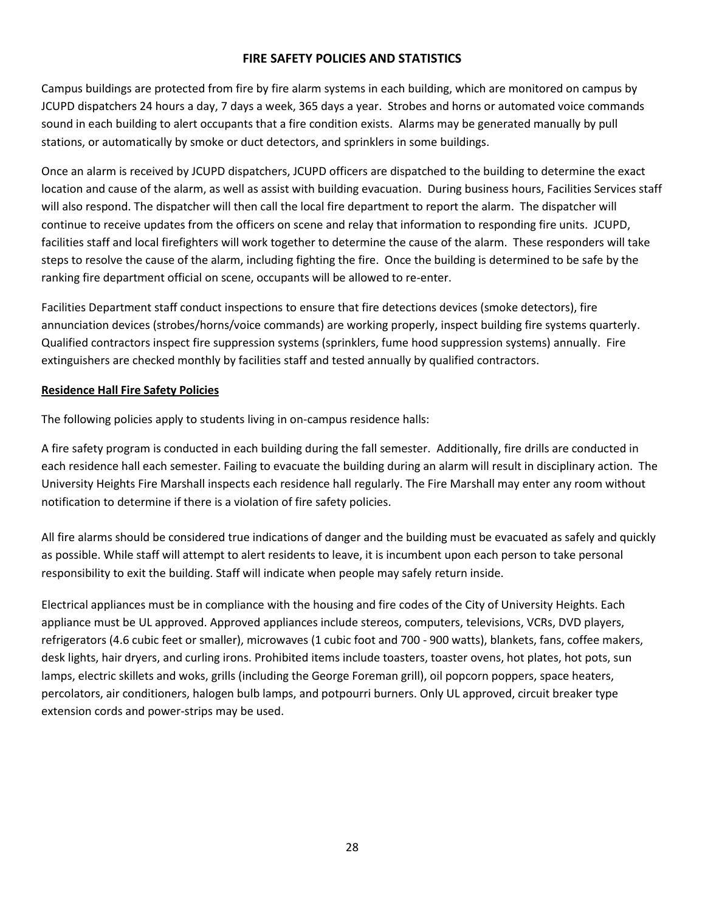#### **FIRE SAFETY POLICIES AND STATISTICS**

Campus buildings are protected from fire by fire alarm systems in each building, which are monitored on campus by JCUPD dispatchers 24 hours a day, 7 days a week, 365 days a year. Strobes and horns or automated voice commands sound in each building to alert occupants that a fire condition exists. Alarms may be generated manually by pull stations, or automatically by smoke or duct detectors, and sprinklers in some buildings.

Once an alarm is received by JCUPD dispatchers, JCUPD officers are dispatched to the building to determine the exact location and cause of the alarm, as well as assist with building evacuation. During business hours, Facilities Services staff will also respond. The dispatcher will then call the local fire department to report the alarm. The dispatcher will continue to receive updates from the officers on scene and relay that information to responding fire units. JCUPD, facilities staff and local firefighters will work together to determine the cause of the alarm. These responders will take steps to resolve the cause of the alarm, including fighting the fire. Once the building is determined to be safe by the ranking fire department official on scene, occupants will be allowed to re-enter.

Facilities Department staff conduct inspections to ensure that fire detections devices (smoke detectors), fire annunciation devices (strobes/horns/voice commands) are working properly, inspect building fire systems quarterly. Qualified contractors inspect fire suppression systems (sprinklers, fume hood suppression systems) annually. Fire extinguishers are checked monthly by facilities staff and tested annually by qualified contractors.

#### **Residence Hall Fire Safety Policies**

The following policies apply to students living in on-campus residence halls:

A fire safety program is conducted in each building during the fall semester. Additionally, fire drills are conducted in each residence hall each semester. Failing to evacuate the building during an alarm will result in disciplinary action. The University Heights Fire Marshall inspects each residence hall regularly. The Fire Marshall may enter any room without notification to determine if there is a violation of fire safety policies.

All fire alarms should be considered true indications of danger and the building must be evacuated as safely and quickly as possible. While staff will attempt to alert residents to leave, it is incumbent upon each person to take personal responsibility to exit the building. Staff will indicate when people may safely return inside.

Electrical appliances must be in compliance with the housing and fire codes of the City of University Heights. Each appliance must be UL approved. Approved appliances include stereos, computers, televisions, VCRs, DVD players, refrigerators (4.6 cubic feet or smaller), microwaves (1 cubic foot and 700 - 900 watts), blankets, fans, coffee makers, desk lights, hair dryers, and curling irons. Prohibited items include toasters, toaster ovens, hot plates, hot pots, sun lamps, electric skillets and woks, grills (including the George Foreman grill), oil popcorn poppers, space heaters, percolators, air conditioners, halogen bulb lamps, and potpourri burners. Only UL approved, circuit breaker type extension cords and power-strips may be used.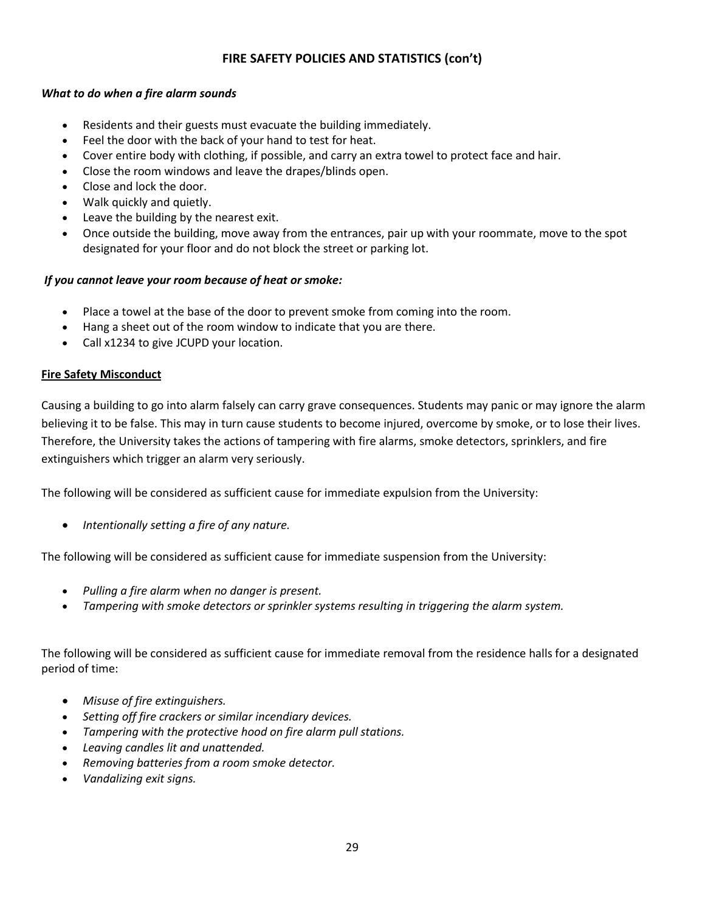# **FIRE SAFETY POLICIES AND STATISTICS (con't)**

#### *What to do when a fire alarm sounds*

- Residents and their guests must evacuate the building immediately.
- Feel the door with the back of your hand to test for heat.
- Cover entire body with clothing, if possible, and carry an extra towel to protect face and hair.
- Close the room windows and leave the drapes/blinds open.
- Close and lock the door.
- Walk quickly and quietly.
- Leave the building by the nearest exit.
- Once outside the building, move away from the entrances, pair up with your roommate, move to the spot designated for your floor and do not block the street or parking lot.

#### *If you cannot leave your room because of heat or smoke:*

- Place a towel at the base of the door to prevent smoke from coming into the room.
- Hang a sheet out of the room window to indicate that you are there.
- Call x1234 to give JCUPD your location.

#### **Fire Safety Misconduct**

Causing a building to go into alarm falsely can carry grave consequences. Students may panic or may ignore the alarm believing it to be false. This may in turn cause students to become injured, overcome by smoke, or to lose their lives. Therefore, the University takes the actions of tampering with fire alarms, smoke detectors, sprinklers, and fire extinguishers which trigger an alarm very seriously.

The following will be considered as sufficient cause for immediate expulsion from the University:

*Intentionally setting a fire of any nature.* 

The following will be considered as sufficient cause for immediate suspension from the University:

- *Pulling a fire alarm when no danger is present.*
- *Tampering with smoke detectors or sprinkler systems resulting in triggering the alarm system.*

The following will be considered as sufficient cause for immediate removal from the residence halls for a designated period of time:

- *Misuse of fire extinguishers.*
- *Setting off fire crackers or similar incendiary devices.*
- *Tampering with the protective hood on fire alarm pull stations.*
- *Leaving candles lit and unattended.*
- *Removing batteries from a room smoke detector.*
- *Vandalizing exit signs.*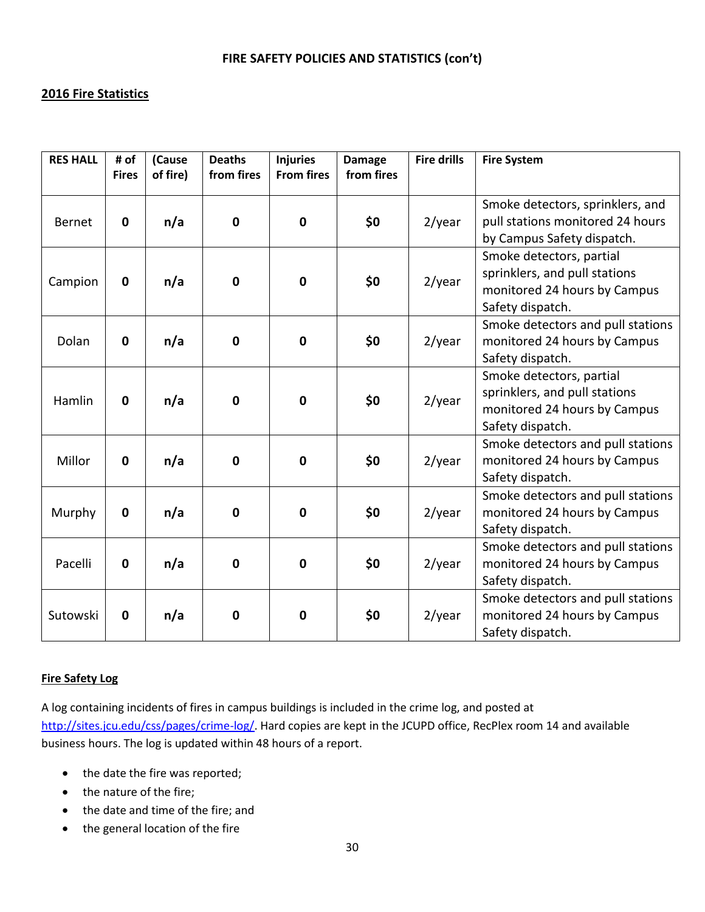# **2016 Fire Statistics**

| <b>RES HALL</b> | # of<br><b>Fires</b> | (Cause<br>of fire) | <b>Deaths</b><br>from fires | <b>Injuries</b><br><b>From fires</b> | <b>Damage</b><br>from fires | <b>Fire drills</b> | <b>Fire System</b>                                                                                            |
|-----------------|----------------------|--------------------|-----------------------------|--------------------------------------|-----------------------------|--------------------|---------------------------------------------------------------------------------------------------------------|
| <b>Bernet</b>   | $\mathbf 0$          | n/a                | $\mathbf 0$                 | $\mathbf 0$                          | \$0                         | $2$ /year          | Smoke detectors, sprinklers, and<br>pull stations monitored 24 hours<br>by Campus Safety dispatch.            |
| Campion         | $\mathbf 0$          | n/a                | $\mathbf 0$                 | $\mathbf 0$                          | \$0                         | $2$ /year          | Smoke detectors, partial<br>sprinklers, and pull stations<br>monitored 24 hours by Campus<br>Safety dispatch. |
| Dolan           | $\mathbf{0}$         | n/a                | $\mathbf 0$                 | $\mathbf 0$                          | \$0                         | $2$ /year          | Smoke detectors and pull stations<br>monitored 24 hours by Campus<br>Safety dispatch.                         |
| Hamlin          | $\mathbf 0$          | n/a                | $\mathbf 0$                 | $\mathbf 0$                          | \$0                         | $2$ /year          | Smoke detectors, partial<br>sprinklers, and pull stations<br>monitored 24 hours by Campus<br>Safety dispatch. |
| Millor          | $\mathbf 0$          | n/a                | $\mathbf 0$                 | $\mathbf 0$                          | \$0                         | $2$ /year          | Smoke detectors and pull stations<br>monitored 24 hours by Campus<br>Safety dispatch.                         |
| Murphy          | $\mathbf 0$          | n/a                | $\mathbf 0$                 | $\mathbf 0$                          | \$0                         | $2$ /year          | Smoke detectors and pull stations<br>monitored 24 hours by Campus<br>Safety dispatch.                         |
| Pacelli         | $\mathbf 0$          | n/a                | $\mathbf 0$                 | $\mathbf 0$                          | \$0                         | $2$ /year          | Smoke detectors and pull stations<br>monitored 24 hours by Campus<br>Safety dispatch.                         |
| Sutowski        | $\mathbf 0$          | n/a                | $\mathbf 0$                 | $\mathbf 0$                          | \$0                         | $2$ /year          | Smoke detectors and pull stations<br>monitored 24 hours by Campus<br>Safety dispatch.                         |

#### **Fire Safety Log**

A log containing incidents of fires in campus buildings is included in the crime log, and posted at [http://sites.jcu.edu/css/pages/crime-log/.](http://sites.jcu.edu/css/pages/crime-log/) Hard copies are kept in the JCUPD office, RecPlex room 14 and available business hours. The log is updated within 48 hours of a report.

- the date the fire was reported;
- the nature of the fire;
- the date and time of the fire; and
- the general location of the fire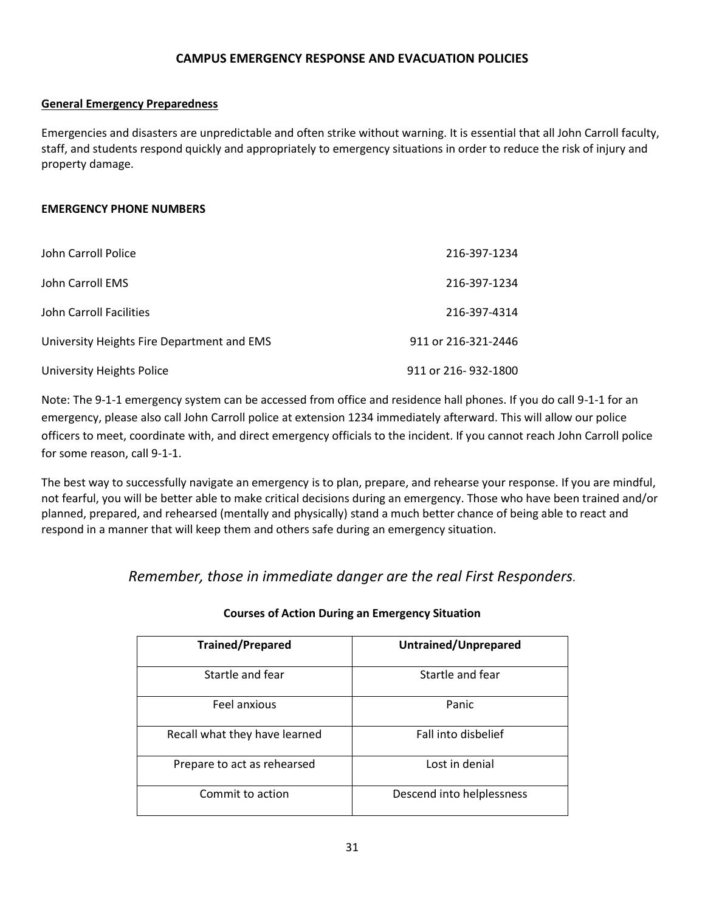#### **CAMPUS EMERGENCY RESPONSE AND EVACUATION POLICIES**

#### **General Emergency Preparedness**

Emergencies and disasters are unpredictable and often strike without warning. It is essential that all John Carroll faculty, staff, and students respond quickly and appropriately to emergency situations in order to reduce the risk of injury and property damage.

#### **EMERGENCY PHONE NUMBERS**

| John Carroll Police                        | 216-397-1234        |
|--------------------------------------------|---------------------|
| John Carroll EMS                           | 216-397-1234        |
| John Carroll Facilities                    | 216-397-4314        |
| University Heights Fire Department and EMS | 911 or 216-321-2446 |
| University Heights Police                  | 911 or 216-932-1800 |

Note: The 9-1-1 emergency system can be accessed from office and residence hall phones. If you do call 9-1-1 for an emergency, please also call John Carroll police at extension 1234 immediately afterward. This will allow our police officers to meet, coordinate with, and direct emergency officials to the incident. If you cannot reach John Carroll police for some reason, call 9-1-1.

The best way to successfully navigate an emergency is to plan, prepare, and rehearse your response. If you are mindful, not fearful, you will be better able to make critical decisions during an emergency. Those who have been trained and/or planned, prepared, and rehearsed (mentally and physically) stand a much better chance of being able to react and respond in a manner that will keep them and others safe during an emergency situation.

*Remember, those in immediate danger are the real First Responders.*

| <b>Trained/Prepared</b>       | Untrained/Unprepared      |
|-------------------------------|---------------------------|
| Startle and fear              | Startle and fear          |
| Feel anxious                  | Panic                     |
| Recall what they have learned | Fall into disbelief       |
| Prepare to act as rehearsed   | Lost in denial            |
| Commit to action              | Descend into helplessness |

#### **Courses of Action During an Emergency Situation**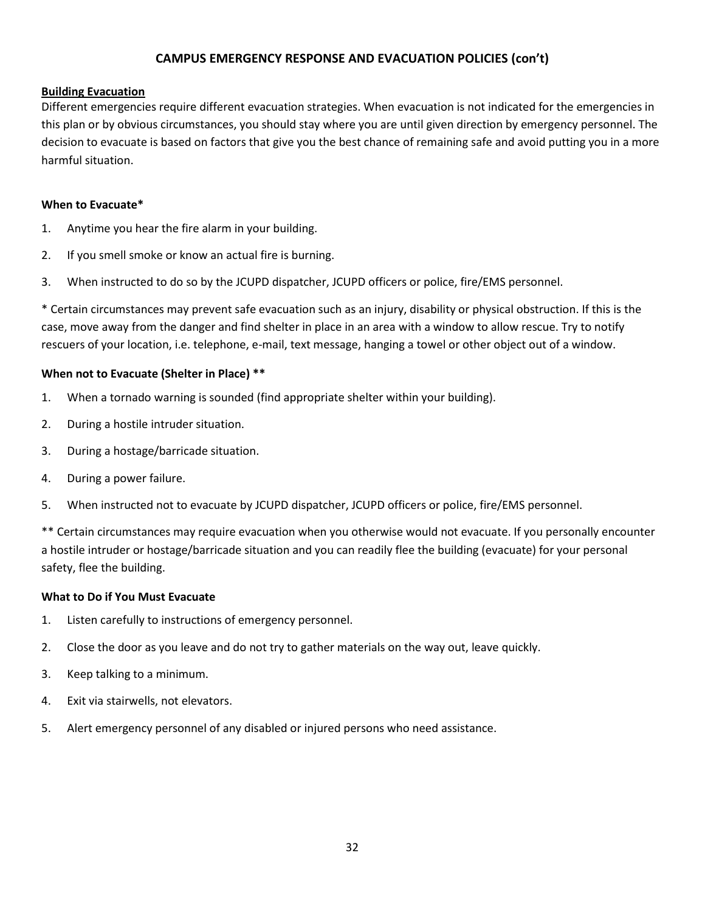#### **CAMPUS EMERGENCY RESPONSE AND EVACUATION POLICIES (con't)**

#### **Building Evacuation**

Different emergencies require different evacuation strategies. When evacuation is not indicated for the emergencies in this plan or by obvious circumstances, you should stay where you are until given direction by emergency personnel. The decision to evacuate is based on factors that give you the best chance of remaining safe and avoid putting you in a more harmful situation.

#### **When to Evacuate\***

- 1. Anytime you hear the fire alarm in your building.
- 2. If you smell smoke or know an actual fire is burning.
- 3. When instructed to do so by the JCUPD dispatcher, JCUPD officers or police, fire/EMS personnel.

\* Certain circumstances may prevent safe evacuation such as an injury, disability or physical obstruction. If this is the case, move away from the danger and find shelter in place in an area with a window to allow rescue. Try to notify rescuers of your location, i.e. telephone, e-mail, text message, hanging a towel or other object out of a window.

#### **When not to Evacuate (Shelter in Place) \*\***

- 1. When a tornado warning is sounded (find appropriate shelter within your building).
- 2. During a hostile intruder situation.
- 3. During a hostage/barricade situation.
- 4. During a power failure.
- 5. When instructed not to evacuate by JCUPD dispatcher, JCUPD officers or police, fire/EMS personnel.

\*\* Certain circumstances may require evacuation when you otherwise would not evacuate. If you personally encounter a hostile intruder or hostage/barricade situation and you can readily flee the building (evacuate) for your personal safety, flee the building.

#### **What to Do if You Must Evacuate**

- 1. Listen carefully to instructions of emergency personnel.
- 2. Close the door as you leave and do not try to gather materials on the way out, leave quickly.
- 3. Keep talking to a minimum.
- 4. Exit via stairwells, not elevators.
- 5. Alert emergency personnel of any disabled or injured persons who need assistance.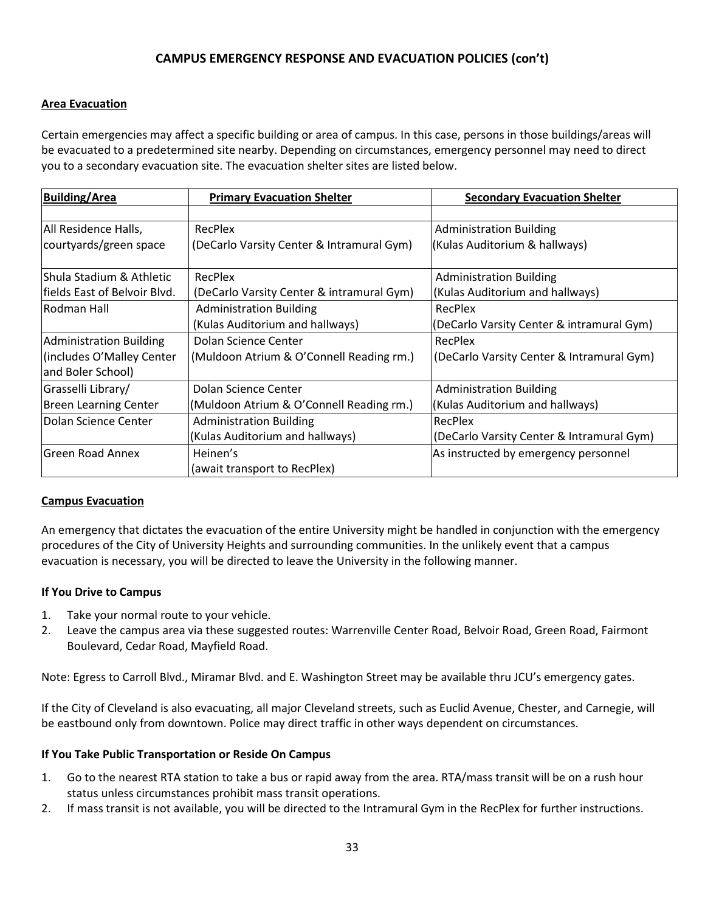# **CAMPUS EMERGENCY RESPONSE AND EVACUATION POLICIES (con't)**

#### **Area Evacuation**

Certain emergencies may affect a specific building or area of campus. In this case, persons in those buildings/areas will be evacuated to a predetermined site nearby. Depending on circumstances, emergency personnel may need to direct you to a secondary evacuation site. The evacuation shelter sites are listed below.

| <b>Building/Area</b>           | <b>Primary Evacuation Shelter</b>         | <b>Secondary Evacuation Shelter</b>       |
|--------------------------------|-------------------------------------------|-------------------------------------------|
|                                |                                           |                                           |
| All Residence Halls,           | RecPlex                                   | <b>Administration Building</b>            |
| courtyards/green space         | (DeCarlo Varsity Center & Intramural Gym) | (Kulas Auditorium & hallways)             |
|                                |                                           |                                           |
| Shula Stadium & Athletic       | RecPlex                                   | <b>Administration Building</b>            |
| lfields East of Belvoir Blvd.  | (DeCarlo Varsity Center & intramural Gym) | (Kulas Auditorium and hallways)           |
| lRodman Hall                   | <b>Administration Building</b>            | RecPlex                                   |
|                                | (Kulas Auditorium and hallways)           | (DeCarlo Varsity Center & intramural Gym) |
| <b>Administration Building</b> | Dolan Science Center                      | RecPlex                                   |
| (includes O'Malley Center      | (Muldoon Atrium & O'Connell Reading rm.)  | (DeCarlo Varsity Center & Intramural Gym) |
| and Boler School)              |                                           |                                           |
| Grasselli Library/             | Dolan Science Center                      | <b>Administration Building</b>            |
| <b>Breen Learning Center</b>   | (Muldoon Atrium & O'Connell Reading rm.)  | (Kulas Auditorium and hallways)           |
| Dolan Science Center           | <b>Administration Building</b>            | RecPlex                                   |
|                                | (Kulas Auditorium and hallways)           | (DeCarlo Varsity Center & Intramural Gym) |
| <b>Green Road Annex</b>        | Heinen's                                  | As instructed by emergency personnel      |
|                                | (await transport to RecPlex)              |                                           |

#### **Campus Evacuation**

An emergency that dictates the evacuation of the entire University might be handled in conjunction with the emergency procedures of the City of University Heights and surrounding communities. In the unlikely event that a campus evacuation is necessary, you will be directed to leave the University in the following manner.

#### **If You Drive to Campus**

- 1. Take your normal route to your vehicle.
- 2. Leave the campus area via these suggested routes: Warrenville Center Road, Belvoir Road, Green Road, Fairmont Boulevard, Cedar Road, Mayfield Road.

Note: Egress to Carroll Blvd., Miramar Blvd. and E. Washington Street may be available thru JCU's emergency gates.

If the City of Cleveland is also evacuating, all major Cleveland streets, such as Euclid Avenue, Chester, and Carnegie, will be eastbound only from downtown. Police may direct traffic in other ways dependent on circumstances.

#### **If You Take Public Transportation or Reside On Campus**

- 1. Go to the nearest RTA station to take a bus or rapid away from the area. RTA/mass transit will be on a rush hour status unless circumstances prohibit mass transit operations.
- 2. If mass transit is not available, you will be directed to the Intramural Gym in the RecPlex for further instructions.